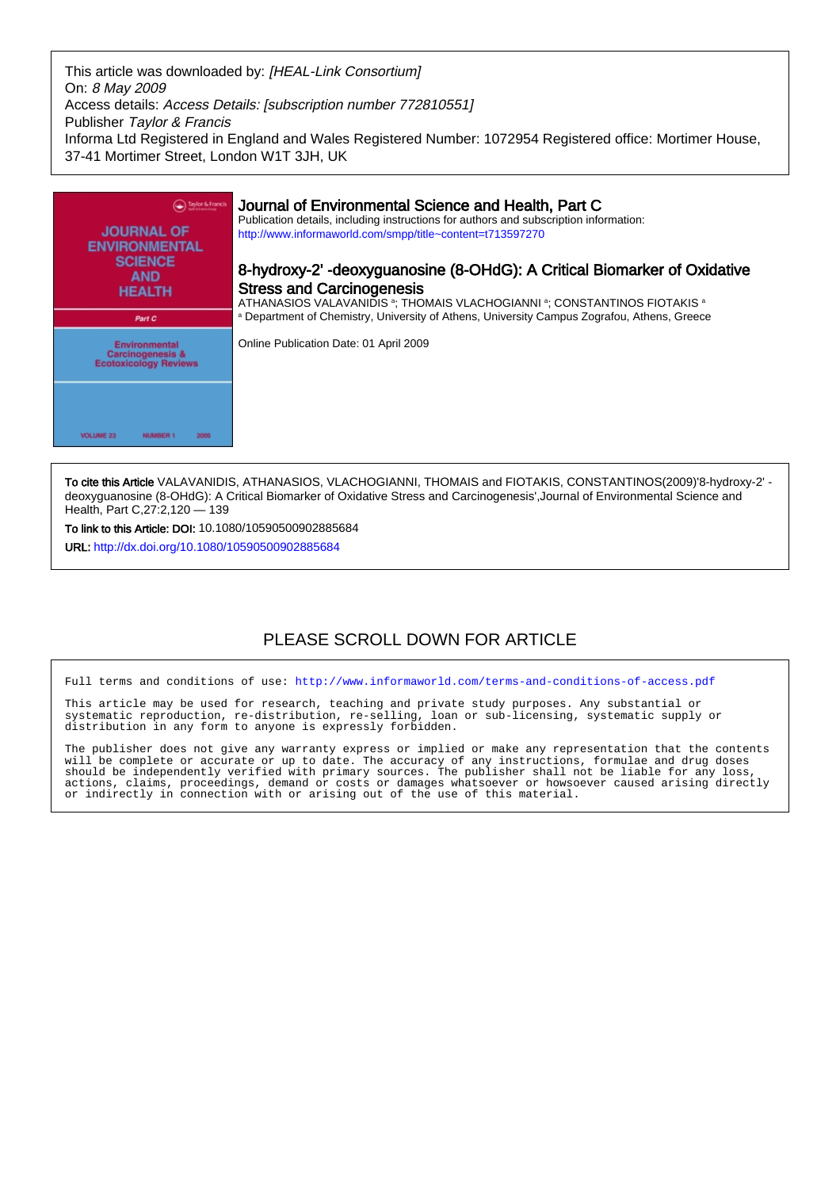This article was downloaded by: [HEAL-Link Consortium] On: 8 May 2009 Access details: Access Details: [subscription number 772810551] Publisher Taylor & Francis Informa Ltd Registered in England and Wales Registered Number: 1072954 Registered office: Mortimer House, 37-41 Mortimer Street, London W1T 3JH, UK



To cite this Article VALAVANIDIS, ATHANASIOS, VLACHOGIANNI, THOMAIS and FIOTAKIS, CONSTANTINOS(2009)'8-hydroxy-2' deoxyguanosine (8-OHdG): A Critical Biomarker of Oxidative Stress and Carcinogenesis',Journal of Environmental Science and Health, Part C,27:2,120 — 139

To link to this Article: DOI: 10.1080/10590500902885684

URL: <http://dx.doi.org/10.1080/10590500902885684>

# PLEASE SCROLL DOWN FOR ARTICLE

Full terms and conditions of use:<http://www.informaworld.com/terms-and-conditions-of-access.pdf>

This article may be used for research, teaching and private study purposes. Any substantial or systematic reproduction, re-distribution, re-selling, loan or sub-licensing, systematic supply or distribution in any form to anyone is expressly forbidden.

The publisher does not give any warranty express or implied or make any representation that the contents will be complete or accurate or up to date. The accuracy of any instructions, formulae and drug doses should be independently verified with primary sources. The publisher shall not be liable for any loss, actions, claims, proceedings, demand or costs or damages whatsoever or howsoever caused arising directly or indirectly in connection with or arising out of the use of this material.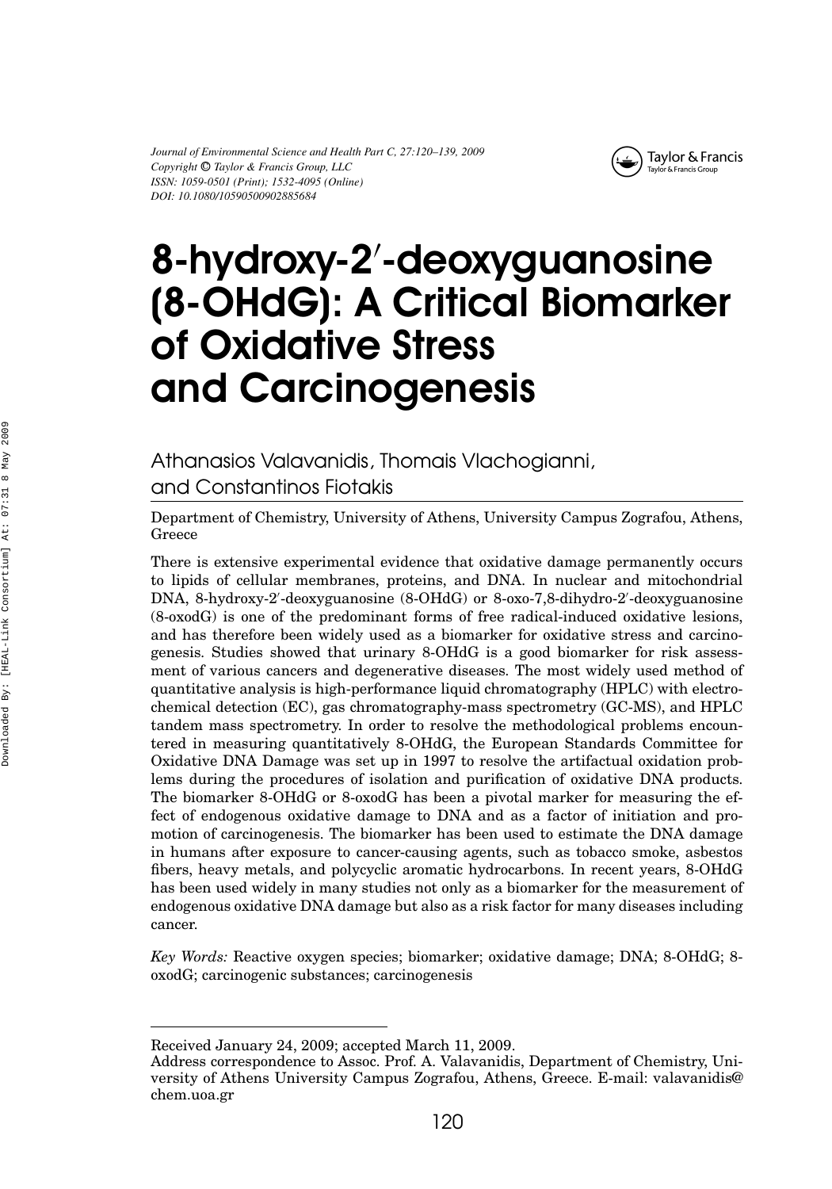*Journal of Environmental Science and Health Part C, 27:120–139, 2009 Copyright* <sup>C</sup> *Taylor & Francis Group, LLC ISSN: 1059-0501 (Print); 1532-4095 (Online) DOI: 10.1080/10590500902885684*



# 8-hydroxy-2 -deoxyguanosine (8-OHdG): A Critical Biomarker of Oxidative Stress and Carcinogenesis

Athanasios Valavanidis, Thomais Vlachogianni, and Constantinos Fiotakis

Department of Chemistry, University of Athens, University Campus Zografou, Athens, Greece

There is extensive experimental evidence that oxidative damage permanently occurs to lipids of cellular membranes, proteins, and DNA. In nuclear and mitochondrial DNA, 8-hydroxy-2 -deoxyguanosine (8-OHdG) or 8-oxo-7,8-dihydro-2 -deoxyguanosine (8-oxodG) is one of the predominant forms of free radical-induced oxidative lesions, and has therefore been widely used as a biomarker for oxidative stress and carcinogenesis. Studies showed that urinary 8-OHdG is a good biomarker for risk assessment of various cancers and degenerative diseases. The most widely used method of quantitative analysis is high-performance liquid chromatography (HPLC) with electrochemical detection (EC), gas chromatography-mass spectrometry (GC-MS), and HPLC tandem mass spectrometry. In order to resolve the methodological problems encountered in measuring quantitatively 8-OHdG, the European Standards Committee for Oxidative DNA Damage was set up in 1997 to resolve the artifactual oxidation problems during the procedures of isolation and purification of oxidative DNA products. The biomarker 8-OHdG or 8-oxodG has been a pivotal marker for measuring the effect of endogenous oxidative damage to DNA and as a factor of initiation and promotion of carcinogenesis. The biomarker has been used to estimate the DNA damage in humans after exposure to cancer-causing agents, such as tobacco smoke, asbestos fibers, heavy metals, and polycyclic aromatic hydrocarbons. In recent years, 8-OHdG has been used widely in many studies not only as a biomarker for the measurement of endogenous oxidative DNA damage but also as a risk factor for many diseases including cancer.

*Key Words:* Reactive oxygen species; biomarker; oxidative damage; DNA; 8-OHdG; 8 oxodG; carcinogenic substances; carcinogenesis

Received January 24, 2009; accepted March 11, 2009.

Address correspondence to Assoc. Prof. A. Valavanidis, Department of Chemistry, University of Athens University Campus Zografou, Athens, Greece. E-mail: valavanidis@ chem.uoa.gr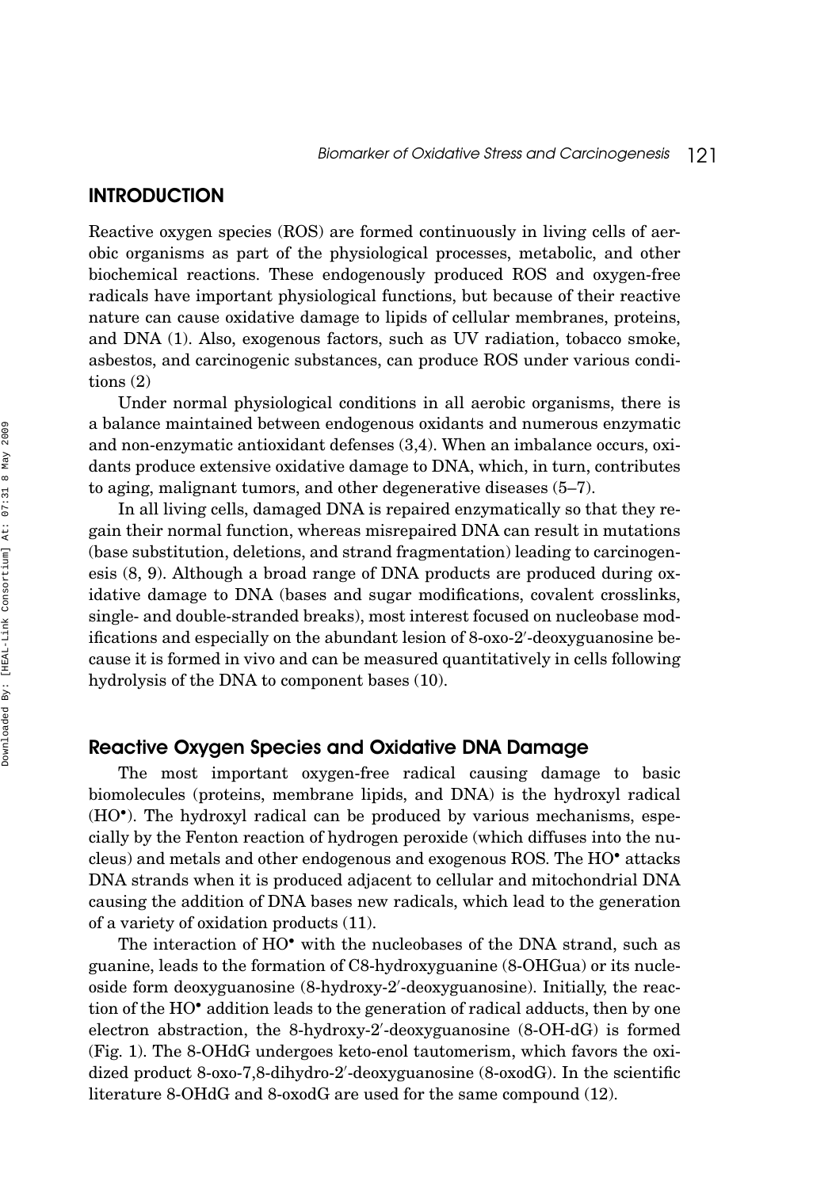## **INTRODUCTION**

Reactive oxygen species (ROS) are formed continuously in living cells of aerobic organisms as part of the physiological processes, metabolic, and other biochemical reactions. These endogenously produced ROS and oxygen-free radicals have important physiological functions, but because of their reactive nature can cause oxidative damage to lipids of cellular membranes, proteins, and DNA (1). Also, exogenous factors, such as UV radiation, tobacco smoke, asbestos, and carcinogenic substances, can produce ROS under various conditions (2)

Under normal physiological conditions in all aerobic organisms, there is a balance maintained between endogenous oxidants and numerous enzymatic and non-enzymatic antioxidant defenses (3,4). When an imbalance occurs, oxidants produce extensive oxidative damage to DNA, which, in turn, contributes to aging, malignant tumors, and other degenerative diseases (5–7).

In all living cells, damaged DNA is repaired enzymatically so that they regain their normal function, whereas misrepaired DNA can result in mutations (base substitution, deletions, and strand fragmentation) leading to carcinogenesis (8, 9). Although a broad range of DNA products are produced during oxidative damage to DNA (bases and sugar modifications, covalent crosslinks, single- and double-stranded breaks), most interest focused on nucleobase modifications and especially on the abundant lesion of 8-oxo-2 -deoxyguanosine because it is formed in vivo and can be measured quantitatively in cells following hydrolysis of the DNA to component bases (10).

### Reactive Oxygen Species and Oxidative DNA Damage

The most important oxygen-free radical causing damage to basic biomolecules (proteins, membrane lipids, and DNA) is the hydroxyl radical (HO•). The hydroxyl radical can be produced by various mechanisms, especially by the Fenton reaction of hydrogen peroxide (which diffuses into the nucleus) and metals and other endogenous and exogenous ROS. The HO• attacks DNA strands when it is produced adjacent to cellular and mitochondrial DNA causing the addition of DNA bases new radicals, which lead to the generation of a variety of oxidation products (11).

The interaction of HO<sup>•</sup> with the nucleobases of the DNA strand, such as guanine, leads to the formation of C8-hydroxyguanine (8-OHGua) or its nucleoside form deoxyguanosine (8-hydroxy-2 -deoxyguanosine). Initially, the reaction of the HO• addition leads to the generation of radical adducts, then by one electron abstraction, the 8-hydroxy-2 -deoxyguanosine (8-OH-dG) is formed (Fig. 1). The 8-OHdG undergoes keto-enol tautomerism, which favors the oxidized product 8-oxo-7,8-dihydro-2 -deoxyguanosine (8-oxodG). In the scientific literature 8-OHdG and 8-oxodG are used for the same compound (12).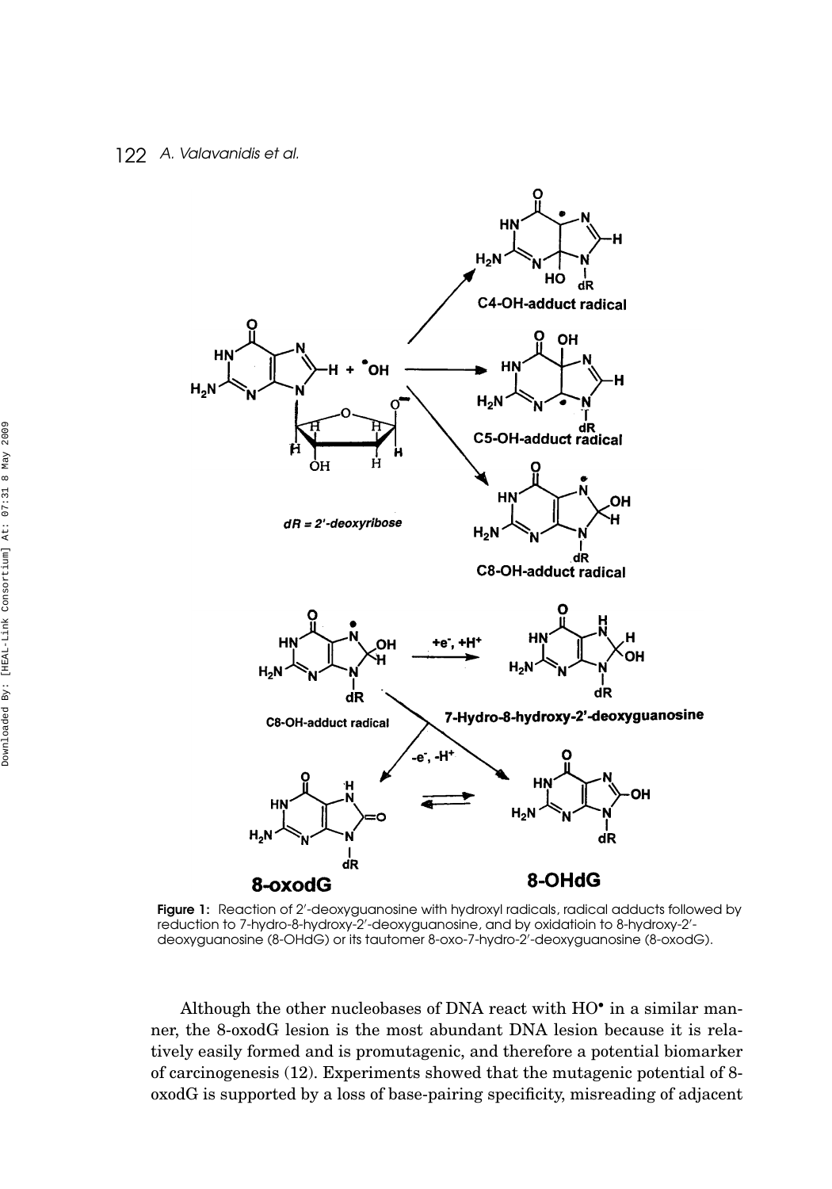

**Figure 1:** Reaction of 2'-deoxyguanosine with hydroxyl radicals, radical adducts followed by reduction to 7-hydro-8-hydroxy-2'-deoxyguanosine, and by oxidatioin to 8-hydroxy-2'deoxyguanosine (8-OHdG) or its tautomer 8-oxo-7-hydro-2 -deoxyguanosine (8-oxodG).

Although the other nucleobases of DNA react with HO• in a similar manner, the 8-oxodG lesion is the most abundant DNA lesion because it is relatively easily formed and is promutagenic, and therefore a potential biomarker of carcinogenesis (12). Experiments showed that the mutagenic potential of 8 oxodG is supported by a loss of base-pairing specificity, misreading of adjacent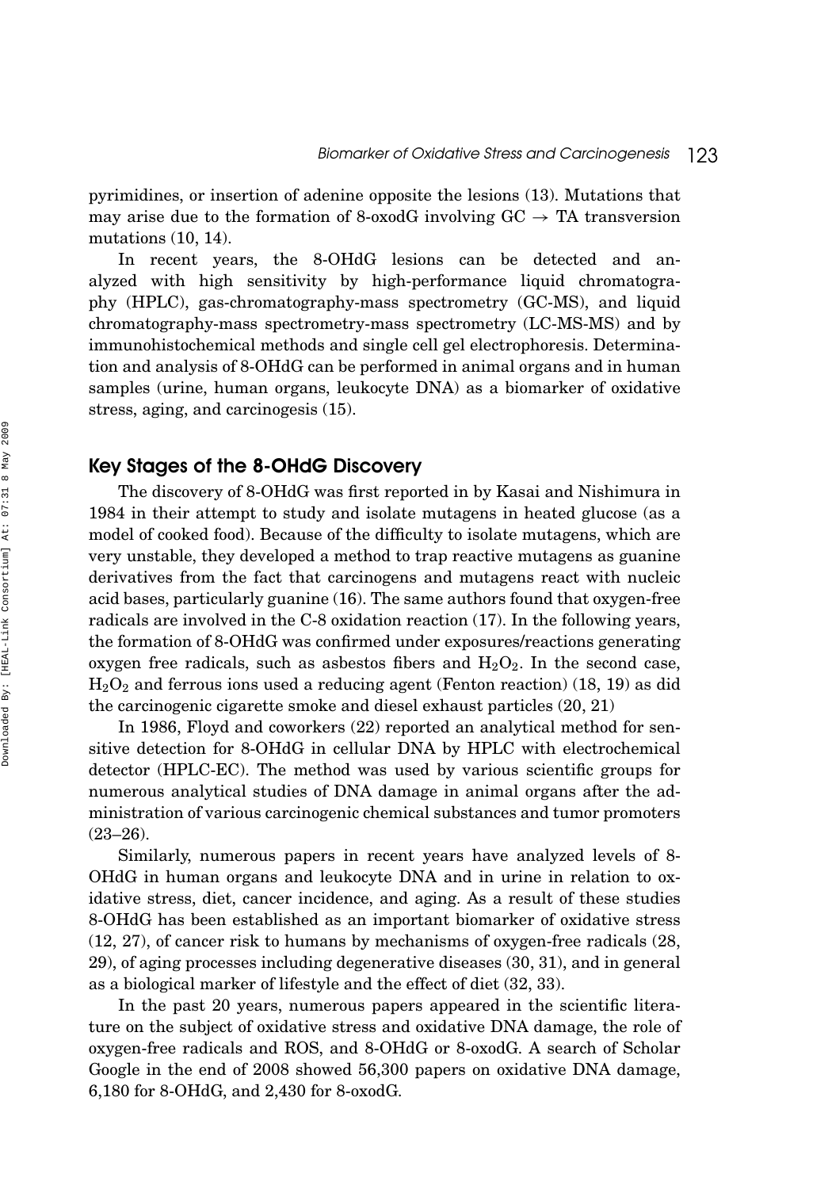pyrimidines, or insertion of adenine opposite the lesions (13). Mutations that may arise due to the formation of 8-oxodG involving  $GC \rightarrow TA$  transversion mutations (10, 14).

In recent years, the 8-OHdG lesions can be detected and analyzed with high sensitivity by high-performance liquid chromatography (HPLC), gas-chromatography-mass spectrometry (GC-MS), and liquid chromatography-mass spectrometry-mass spectrometry (LC-MS-MS) and by immunohistochemical methods and single cell gel electrophoresis. Determination and analysis of 8-OHdG can be performed in animal organs and in human samples (urine, human organs, leukocyte DNA) as a biomarker of oxidative stress, aging, and carcinogesis (15).

## Key Stages of the 8-OHdG Discovery

The discovery of 8-OHdG was first reported in by Kasai and Nishimura in 1984 in their attempt to study and isolate mutagens in heated glucose (as a model of cooked food). Because of the difficulty to isolate mutagens, which are very unstable, they developed a method to trap reactive mutagens as guanine derivatives from the fact that carcinogens and mutagens react with nucleic acid bases, particularly guanine (16). The same authors found that oxygen-free radicals are involved in the C-8 oxidation reaction (17). In the following years, the formation of 8-OHdG was confirmed under exposures/reactions generating oxygen free radicals, such as asbestos fibers and  $H_2O_2$ . In the second case,  $\rm H_2O_2$  and ferrous ions used a reducing agent (Fenton reaction) (18, 19) as did the carcinogenic cigarette smoke and diesel exhaust particles (20, 21)

In 1986, Floyd and coworkers (22) reported an analytical method for sensitive detection for 8-OHdG in cellular DNA by HPLC with electrochemical detector (HPLC-EC). The method was used by various scientific groups for numerous analytical studies of DNA damage in animal organs after the administration of various carcinogenic chemical substances and tumor promoters  $(23-26)$ .

Similarly, numerous papers in recent years have analyzed levels of 8- OHdG in human organs and leukocyte DNA and in urine in relation to oxidative stress, diet, cancer incidence, and aging. As a result of these studies 8-OHdG has been established as an important biomarker of oxidative stress (12, 27), of cancer risk to humans by mechanisms of oxygen-free radicals (28, 29), of aging processes including degenerative diseases (30, 31), and in general as a biological marker of lifestyle and the effect of diet (32, 33).

In the past 20 years, numerous papers appeared in the scientific literature on the subject of oxidative stress and oxidative DNA damage, the role of oxygen-free radicals and ROS, and 8-OHdG or 8-oxodG. A search of Scholar Google in the end of 2008 showed 56,300 papers on oxidative DNA damage, 6,180 for 8-OHdG, and 2,430 for 8-oxodG.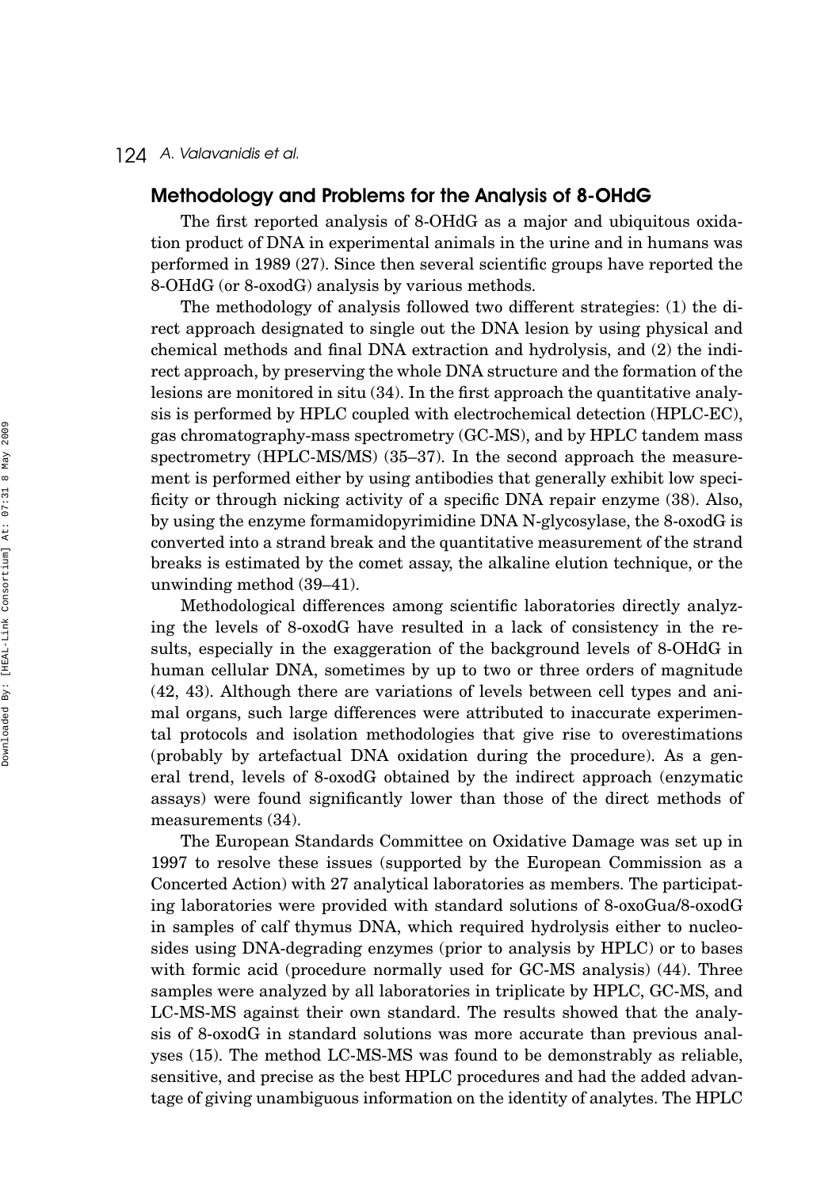## Methodology and Problems for the Analysis of 8-OHdG

The first reported analysis of 8-OHdG as a major and ubiquitous oxidation product of DNA in experimental animals in the urine and in humans was performed in 1989 (27). Since then several scientific groups have reported the 8-OHdG (or 8-oxodG) analysis by various methods.

The methodology of analysis followed two different strategies: (1) the direct approach designated to single out the DNA lesion by using physical and chemical methods and final DNA extraction and hydrolysis, and (2) the indirect approach, by preserving the whole DNA structure and the formation of the lesions are monitored in situ (34). In the first approach the quantitative analysis is performed by HPLC coupled with electrochemical detection (HPLC-EC), gas chromatography-mass spectrometry (GC-MS), and by HPLC tandem mass spectrometry (HPLC-MS/MS) (35–37). In the second approach the measurement is performed either by using antibodies that generally exhibit low specificity or through nicking activity of a specific DNA repair enzyme (38). Also, by using the enzyme formamidopyrimidine DNA N-glycosylase, the 8-oxodG is converted into a strand break and the quantitative measurement of the strand breaks is estimated by the comet assay, the alkaline elution technique, or the unwinding method (39–41).

Methodological differences among scientific laboratories directly analyzing the levels of 8-oxodG have resulted in a lack of consistency in the results, especially in the exaggeration of the background levels of 8-OHdG in human cellular DNA, sometimes by up to two or three orders of magnitude (42, 43). Although there are variations of levels between cell types and animal organs, such large differences were attributed to inaccurate experimental protocols and isolation methodologies that give rise to overestimations (probably by artefactual DNA oxidation during the procedure). As a general trend, levels of 8-oxodG obtained by the indirect approach (enzymatic assays) were found significantly lower than those of the direct methods of measurements (34).

The European Standards Committee on Oxidative Damage was set up in 1997 to resolve these issues (supported by the European Commission as a Concerted Action) with 27 analytical laboratories as members. The participating laboratories were provided with standard solutions of 8-oxoGua/8-oxodG in samples of calf thymus DNA, which required hydrolysis either to nucleosides using DNA-degrading enzymes (prior to analysis by HPLC) or to bases with formic acid (procedure normally used for GC-MS analysis) (44). Three samples were analyzed by all laboratories in triplicate by HPLC, GC-MS, and LC-MS-MS against their own standard. The results showed that the analysis of 8-oxodG in standard solutions was more accurate than previous analyses (15). The method LC-MS-MS was found to be demonstrably as reliable, sensitive, and precise as the best HPLC procedures and had the added advantage of giving unambiguous information on the identity of analytes. The HPLC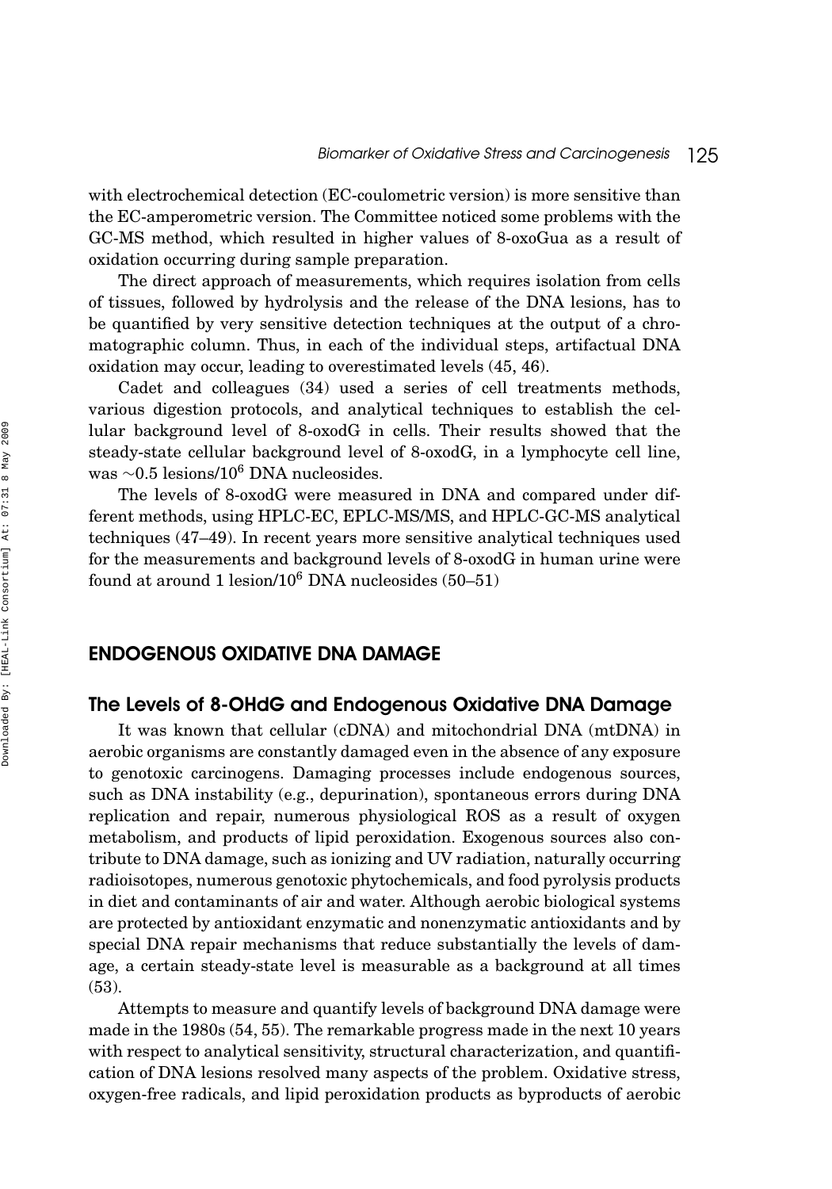with electrochemical detection (EC-coulometric version) is more sensitive than the EC-amperometric version. The Committee noticed some problems with the GC-MS method, which resulted in higher values of 8-oxoGua as a result of oxidation occurring during sample preparation.

The direct approach of measurements, which requires isolation from cells of tissues, followed by hydrolysis and the release of the DNA lesions, has to be quantified by very sensitive detection techniques at the output of a chromatographic column. Thus, in each of the individual steps, artifactual DNA oxidation may occur, leading to overestimated levels (45, 46).

Cadet and colleagues (34) used a series of cell treatments methods, various digestion protocols, and analytical techniques to establish the cellular background level of 8-oxodG in cells. Their results showed that the steady-state cellular background level of 8-oxodG, in a lymphocyte cell line, was <sup>∼</sup>0.5 lesions/106 DNA nucleosides.

The levels of 8-oxodG were measured in DNA and compared under different methods, using HPLC-EC, EPLC-MS/MS, and HPLC-GC-MS analytical techniques (47–49). In recent years more sensitive analytical techniques used for the measurements and background levels of 8-oxodG in human urine were found at around 1 lesion/ $10^6$  DNA nucleosides (50–51)

## ENDOGENOUS OXIDATIVE DNA DAMAGE

## The Levels of 8-OHdG and Endogenous Oxidative DNA Damage

It was known that cellular (cDNA) and mitochondrial DNA (mtDNA) in aerobic organisms are constantly damaged even in the absence of any exposure to genotoxic carcinogens. Damaging processes include endogenous sources, such as DNA instability (e.g., depurination), spontaneous errors during DNA replication and repair, numerous physiological ROS as a result of oxygen metabolism, and products of lipid peroxidation. Exogenous sources also contribute to DNA damage, such as ionizing and UV radiation, naturally occurring radioisotopes, numerous genotoxic phytochemicals, and food pyrolysis products in diet and contaminants of air and water. Although aerobic biological systems are protected by antioxidant enzymatic and nonenzymatic antioxidants and by special DNA repair mechanisms that reduce substantially the levels of damage, a certain steady-state level is measurable as a background at all times (53).

Attempts to measure and quantify levels of background DNA damage were made in the 1980s (54, 55). The remarkable progress made in the next 10 years with respect to analytical sensitivity, structural characterization, and quantification of DNA lesions resolved many aspects of the problem. Oxidative stress, oxygen-free radicals, and lipid peroxidation products as byproducts of aerobic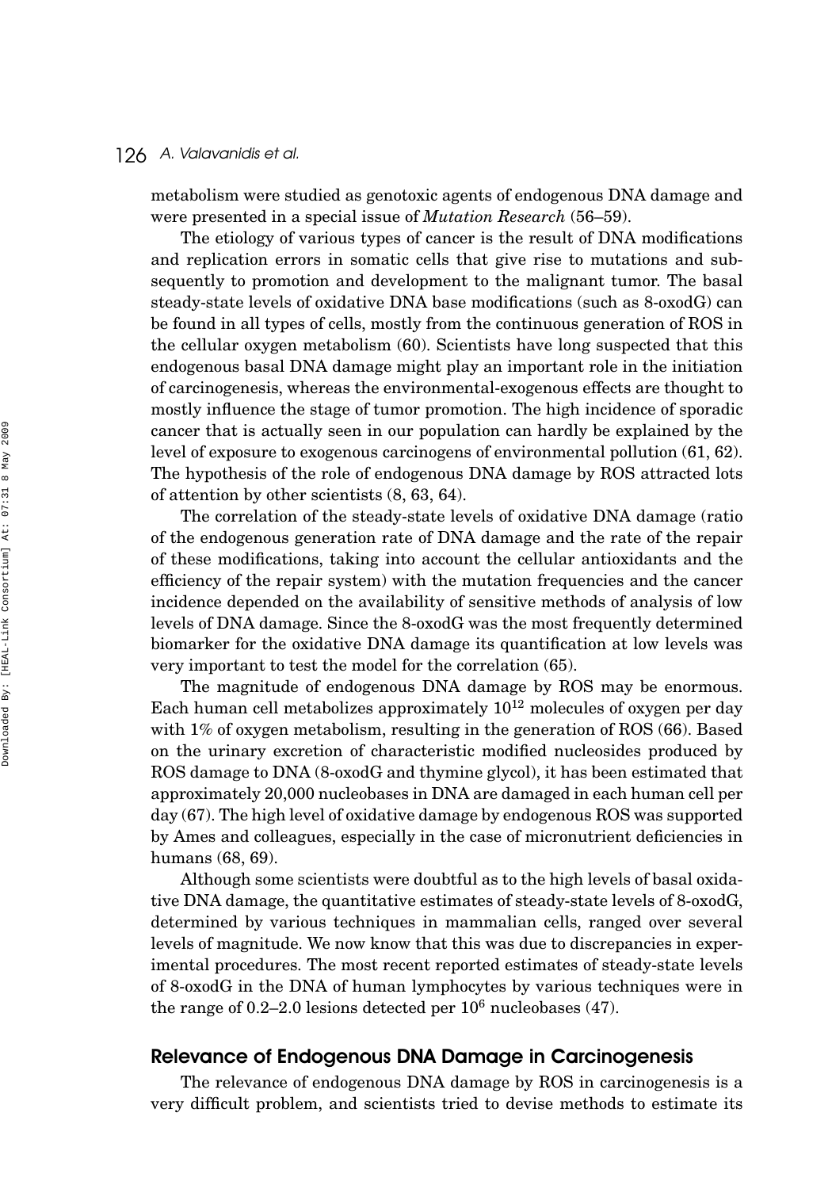metabolism were studied as genotoxic agents of endogenous DNA damage and were presented in a special issue of *Mutation Research* (56–59).

The etiology of various types of cancer is the result of DNA modifications and replication errors in somatic cells that give rise to mutations and subsequently to promotion and development to the malignant tumor. The basal steady-state levels of oxidative DNA base modifications (such as 8-oxodG) can be found in all types of cells, mostly from the continuous generation of ROS in the cellular oxygen metabolism (60). Scientists have long suspected that this endogenous basal DNA damage might play an important role in the initiation of carcinogenesis, whereas the environmental-exogenous effects are thought to mostly influence the stage of tumor promotion. The high incidence of sporadic cancer that is actually seen in our population can hardly be explained by the level of exposure to exogenous carcinogens of environmental pollution (61, 62). The hypothesis of the role of endogenous DNA damage by ROS attracted lots of attention by other scientists (8, 63, 64).

The correlation of the steady-state levels of oxidative DNA damage (ratio of the endogenous generation rate of DNA damage and the rate of the repair of these modifications, taking into account the cellular antioxidants and the efficiency of the repair system) with the mutation frequencies and the cancer incidence depended on the availability of sensitive methods of analysis of low levels of DNA damage. Since the 8-oxodG was the most frequently determined biomarker for the oxidative DNA damage its quantification at low levels was very important to test the model for the correlation (65).

The magnitude of endogenous DNA damage by ROS may be enormous. Each human cell metabolizes approximately  $10^{12}$  molecules of oxygen per day with 1% of oxygen metabolism, resulting in the generation of ROS (66). Based on the urinary excretion of characteristic modified nucleosides produced by ROS damage to DNA (8-oxodG and thymine glycol), it has been estimated that approximately 20,000 nucleobases in DNA are damaged in each human cell per day (67). The high level of oxidative damage by endogenous ROS was supported by Ames and colleagues, especially in the case of micronutrient deficiencies in humans (68, 69).

Although some scientists were doubtful as to the high levels of basal oxidative DNA damage, the quantitative estimates of steady-state levels of 8-oxodG, determined by various techniques in mammalian cells, ranged over several levels of magnitude. We now know that this was due to discrepancies in experimental procedures. The most recent reported estimates of steady-state levels of 8-oxodG in the DNA of human lymphocytes by various techniques were in the range of  $0.2-2.0$  lesions detected per  $10^6$  nucleobases (47).

## Relevance of Endogenous DNA Damage in Carcinogenesis

The relevance of endogenous DNA damage by ROS in carcinogenesis is a very difficult problem, and scientists tried to devise methods to estimate its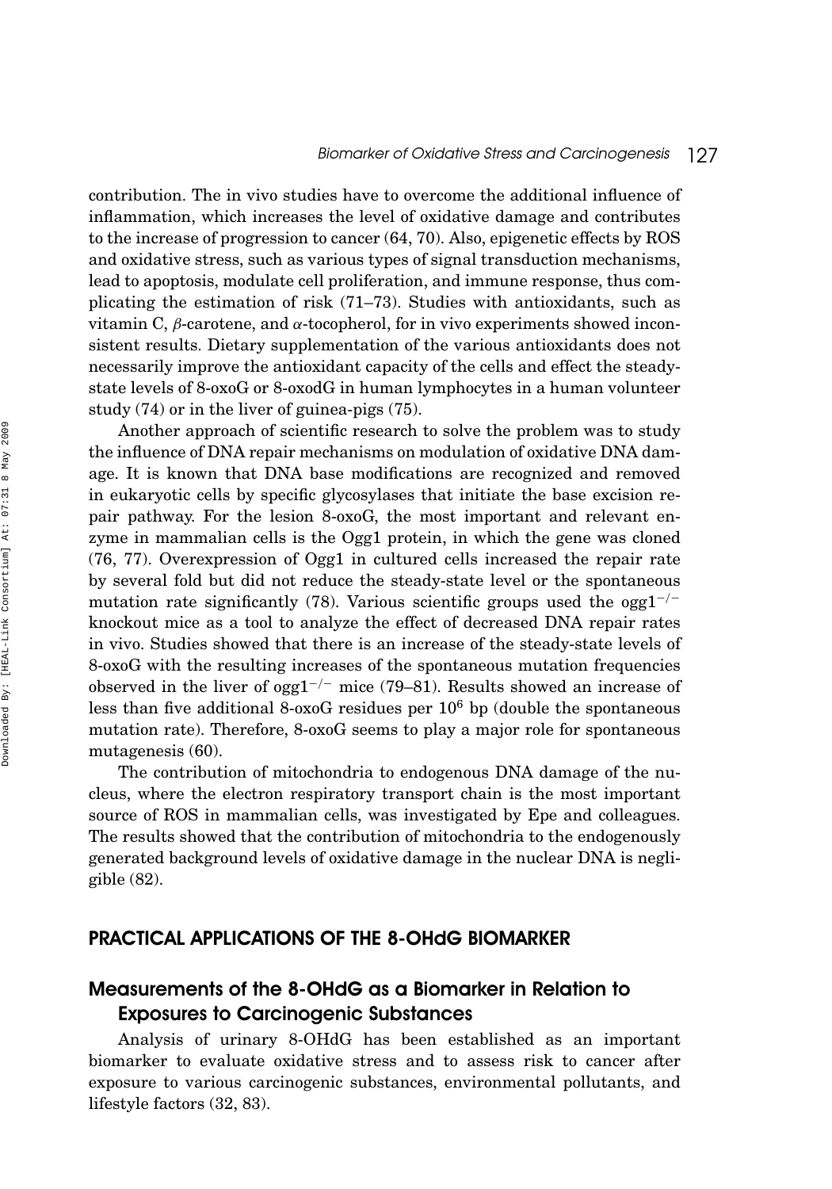contribution. The in vivo studies have to overcome the additional influence of inflammation, which increases the level of oxidative damage and contributes to the increase of progression to cancer (64, 70). Also, epigenetic effects by ROS and oxidative stress, such as various types of signal transduction mechanisms, lead to apoptosis, modulate cell proliferation, and immune response, thus complicating the estimation of risk (71–73). Studies with antioxidants, such as vitamin C, *β*-carotene, and *α*-tocopherol, for in vivo experiments showed inconsistent results. Dietary supplementation of the various antioxidants does not necessarily improve the antioxidant capacity of the cells and effect the steadystate levels of 8-oxoG or 8-oxodG in human lymphocytes in a human volunteer study (74) or in the liver of guinea-pigs (75).

Another approach of scientific research to solve the problem was to study the influence of DNA repair mechanisms on modulation of oxidative DNA damage. It is known that DNA base modifications are recognized and removed in eukaryotic cells by specific glycosylases that initiate the base excision repair pathway. For the lesion 8-oxoG, the most important and relevant enzyme in mammalian cells is the Ogg1 protein, in which the gene was cloned (76, 77). Overexpression of Ogg1 in cultured cells increased the repair rate by several fold but did not reduce the steady-state level or the spontaneous mutation rate significantly (78). Various scientific groups used the ogg1−*/*<sup>−</sup> knockout mice as a tool to analyze the effect of decreased DNA repair rates in vivo. Studies showed that there is an increase of the steady-state levels of 8-oxoG with the resulting increases of the spontaneous mutation frequencies observed in the liver of ogg1−*/*<sup>−</sup> mice (79–81). Results showed an increase of less than five additional 8-oxoG residues per  $10^6$  bp (double the spontaneous mutation rate). Therefore, 8-oxoG seems to play a major role for spontaneous mutagenesis (60).

The contribution of mitochondria to endogenous DNA damage of the nucleus, where the electron respiratory transport chain is the most important source of ROS in mammalian cells, was investigated by Epe and colleagues. The results showed that the contribution of mitochondria to the endogenously generated background levels of oxidative damage in the nuclear DNA is negligible (82).

## PRACTICAL APPLICATIONS OF THE 8-OHdG BIOMARKER

## Measurements of the 8-OHdG as a Biomarker in Relation to Exposures to Carcinogenic Substances

Analysis of urinary 8-OHdG has been established as an important biomarker to evaluate oxidative stress and to assess risk to cancer after exposure to various carcinogenic substances, environmental pollutants, and lifestyle factors (32, 83).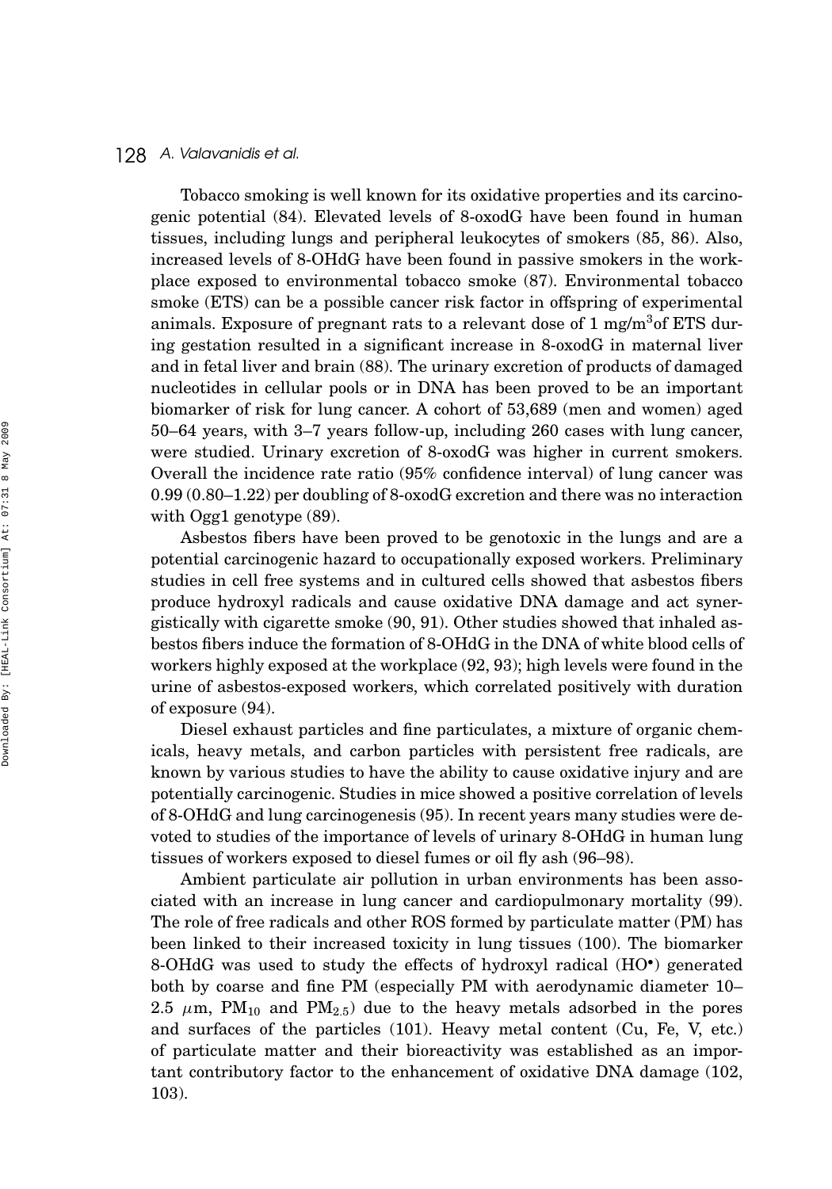Tobacco smoking is well known for its oxidative properties and its carcinogenic potential (84). Elevated levels of 8-oxodG have been found in human tissues, including lungs and peripheral leukocytes of smokers (85, 86). Also, increased levels of 8-OHdG have been found in passive smokers in the workplace exposed to environmental tobacco smoke (87). Environmental tobacco smoke (ETS) can be a possible cancer risk factor in offspring of experimental animals. Exposure of pregnant rats to a relevant dose of  $1 \text{ mg/m}^3$  of ETS during gestation resulted in a significant increase in 8-oxodG in maternal liver and in fetal liver and brain (88). The urinary excretion of products of damaged nucleotides in cellular pools or in DNA has been proved to be an important biomarker of risk for lung cancer. A cohort of 53,689 (men and women) aged 50–64 years, with 3–7 years follow-up, including 260 cases with lung cancer, were studied. Urinary excretion of 8-oxodG was higher in current smokers. Overall the incidence rate ratio (95% confidence interval) of lung cancer was 0.99 (0.80–1.22) per doubling of 8-oxodG excretion and there was no interaction with Ogg1 genotype (89).

Asbestos fibers have been proved to be genotoxic in the lungs and are a potential carcinogenic hazard to occupationally exposed workers. Preliminary studies in cell free systems and in cultured cells showed that asbestos fibers produce hydroxyl radicals and cause oxidative DNA damage and act synergistically with cigarette smoke (90, 91). Other studies showed that inhaled asbestos fibers induce the formation of 8-OHdG in the DNA of white blood cells of workers highly exposed at the workplace (92, 93); high levels were found in the urine of asbestos-exposed workers, which correlated positively with duration of exposure (94).

Diesel exhaust particles and fine particulates, a mixture of organic chemicals, heavy metals, and carbon particles with persistent free radicals, are known by various studies to have the ability to cause oxidative injury and are potentially carcinogenic. Studies in mice showed a positive correlation of levels of 8-OHdG and lung carcinogenesis (95). In recent years many studies were devoted to studies of the importance of levels of urinary 8-OHdG in human lung tissues of workers exposed to diesel fumes or oil fly ash (96–98).

Ambient particulate air pollution in urban environments has been associated with an increase in lung cancer and cardiopulmonary mortality (99). The role of free radicals and other ROS formed by particulate matter (PM) has been linked to their increased toxicity in lung tissues (100). The biomarker 8-OHdG was used to study the effects of hydroxyl radical (HO•) generated both by coarse and fine PM (especially PM with aerodynamic diameter 10– 2.5  $\mu$ m, PM<sub>10</sub> and PM<sub>2.5</sub>) due to the heavy metals adsorbed in the pores and surfaces of the particles (101). Heavy metal content (Cu, Fe, V, etc.) of particulate matter and their bioreactivity was established as an important contributory factor to the enhancement of oxidative DNA damage (102, 103).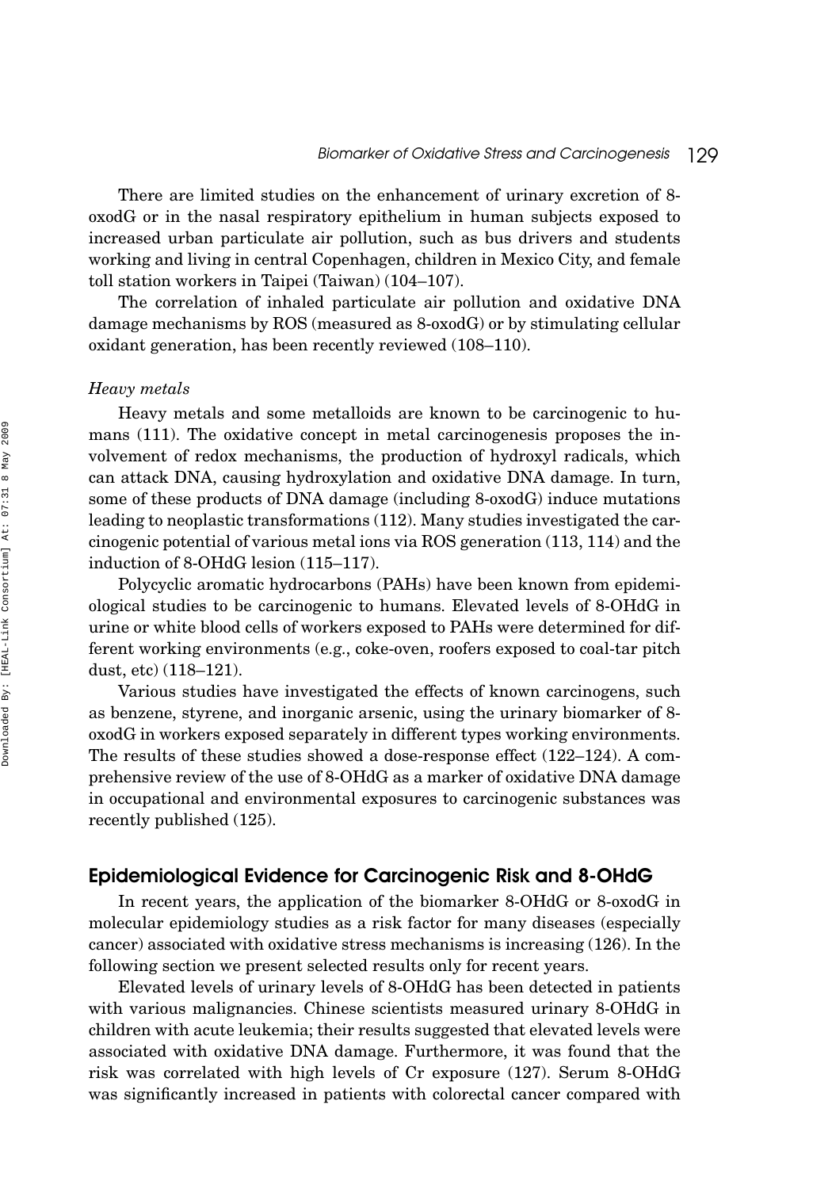There are limited studies on the enhancement of urinary excretion of 8 oxodG or in the nasal respiratory epithelium in human subjects exposed to increased urban particulate air pollution, such as bus drivers and students working and living in central Copenhagen, children in Mexico City, and female toll station workers in Taipei (Taiwan) (104–107).

The correlation of inhaled particulate air pollution and oxidative DNA damage mechanisms by ROS (measured as 8-oxodG) or by stimulating cellular oxidant generation, has been recently reviewed (108–110).

#### *Heavy metals*

Heavy metals and some metalloids are known to be carcinogenic to humans (111). The oxidative concept in metal carcinogenesis proposes the involvement of redox mechanisms, the production of hydroxyl radicals, which can attack DNA, causing hydroxylation and oxidative DNA damage. In turn, some of these products of DNA damage (including 8-oxodG) induce mutations leading to neoplastic transformations (112). Many studies investigated the carcinogenic potential of various metal ions via ROS generation (113, 114) and the induction of 8-OHdG lesion (115–117).

Polycyclic aromatic hydrocarbons (PAHs) have been known from epidemiological studies to be carcinogenic to humans. Elevated levels of 8-OHdG in urine or white blood cells of workers exposed to PAHs were determined for different working environments (e.g., coke-oven, roofers exposed to coal-tar pitch dust, etc) (118–121).

Various studies have investigated the effects of known carcinogens, such as benzene, styrene, and inorganic arsenic, using the urinary biomarker of 8 oxodG in workers exposed separately in different types working environments. The results of these studies showed a dose-response effect (122–124). A comprehensive review of the use of 8-OHdG as a marker of oxidative DNA damage in occupational and environmental exposures to carcinogenic substances was recently published (125).

## Epidemiological Evidence for Carcinogenic Risk and 8-OHdG

In recent years, the application of the biomarker 8-OHdG or 8-oxodG in molecular epidemiology studies as a risk factor for many diseases (especially cancer) associated with oxidative stress mechanisms is increasing (126). In the following section we present selected results only for recent years.

Elevated levels of urinary levels of 8-OHdG has been detected in patients with various malignancies. Chinese scientists measured urinary 8-OHdG in children with acute leukemia; their results suggested that elevated levels were associated with oxidative DNA damage. Furthermore, it was found that the risk was correlated with high levels of Cr exposure (127). Serum 8-OHdG was significantly increased in patients with colorectal cancer compared with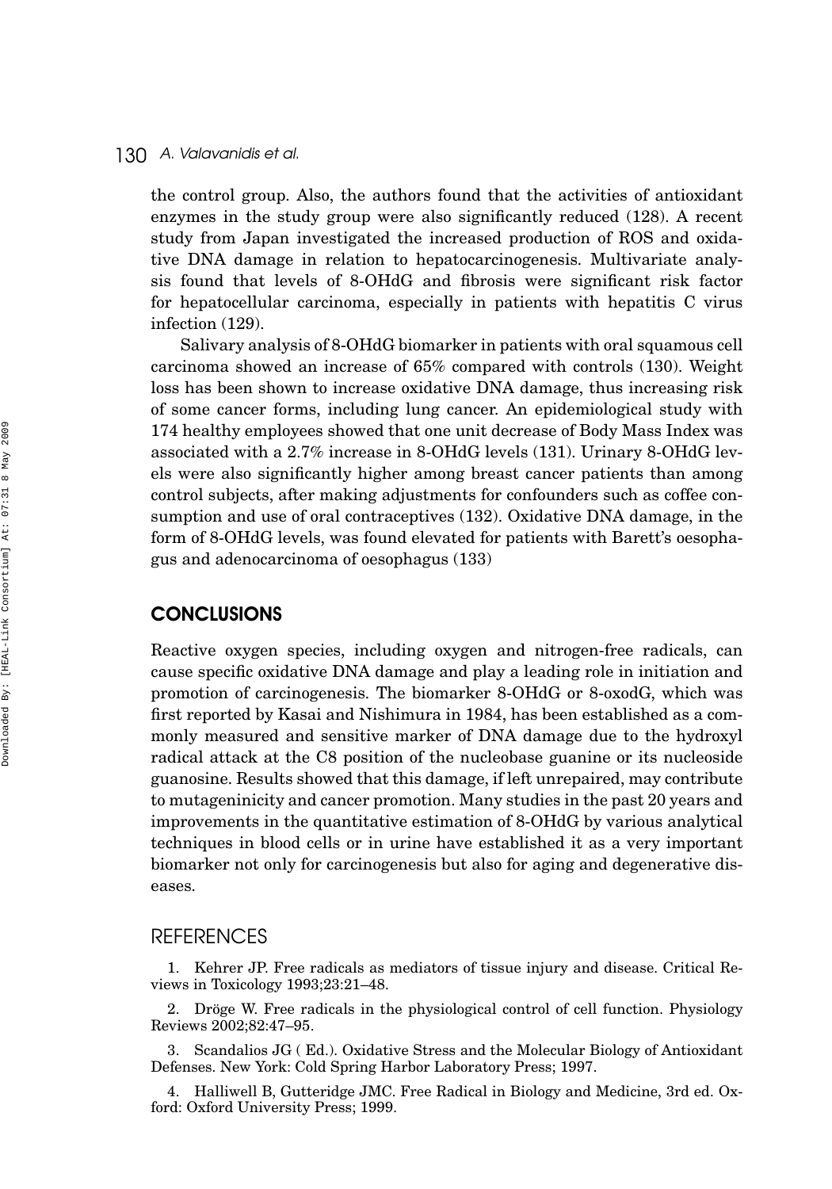the control group. Also, the authors found that the activities of antioxidant enzymes in the study group were also significantly reduced (128). A recent study from Japan investigated the increased production of ROS and oxidative DNA damage in relation to hepatocarcinogenesis. Multivariate analysis found that levels of 8-OHdG and fibrosis were significant risk factor for hepatocellular carcinoma, especially in patients with hepatitis C virus infection (129).

Salivary analysis of 8-OHdG biomarker in patients with oral squamous cell carcinoma showed an increase of 65% compared with controls (130). Weight loss has been shown to increase oxidative DNA damage, thus increasing risk of some cancer forms, including lung cancer. An epidemiological study with 174 healthy employees showed that one unit decrease of Body Mass Index was associated with a 2.7% increase in 8-OHdG levels (131). Urinary 8-OHdG levels were also significantly higher among breast cancer patients than among control subjects, after making adjustments for confounders such as coffee consumption and use of oral contraceptives (132). Oxidative DNA damage, in the form of 8-OHdG levels, was found elevated for patients with Barett's oesophagus and adenocarcinoma of oesophagus (133)

## **CONCLUSIONS**

Reactive oxygen species, including oxygen and nitrogen-free radicals, can cause specific oxidative DNA damage and play a leading role in initiation and promotion of carcinogenesis. The biomarker 8-OHdG or 8-oxodG, which was first reported by Kasai and Nishimura in 1984, has been established as a commonly measured and sensitive marker of DNA damage due to the hydroxyl radical attack at the C8 position of the nucleobase guanine or its nucleoside guanosine. Results showed that this damage, if left unrepaired, may contribute to mutageninicity and cancer promotion. Many studies in the past 20 years and improvements in the quantitative estimation of 8-OHdG by various analytical techniques in blood cells or in urine have established it as a very important biomarker not only for carcinogenesis but also for aging and degenerative diseases.

## **REFERENCES**

1. Kehrer JP. Free radicals as mediators of tissue injury and disease. Critical Reviews in Toxicology 1993;23:21–48.

2. Dröge W. Free radicals in the physiological control of cell function. Physiology Reviews 2002;82:47–95.

3. Scandalios JG ( Ed.). Oxidative Stress and the Molecular Biology of Antioxidant Defenses. New York: Cold Spring Harbor Laboratory Press; 1997.

4. Halliwell B, Gutteridge JMC. Free Radical in Biology and Medicine, 3rd ed. Oxford: Oxford University Press; 1999.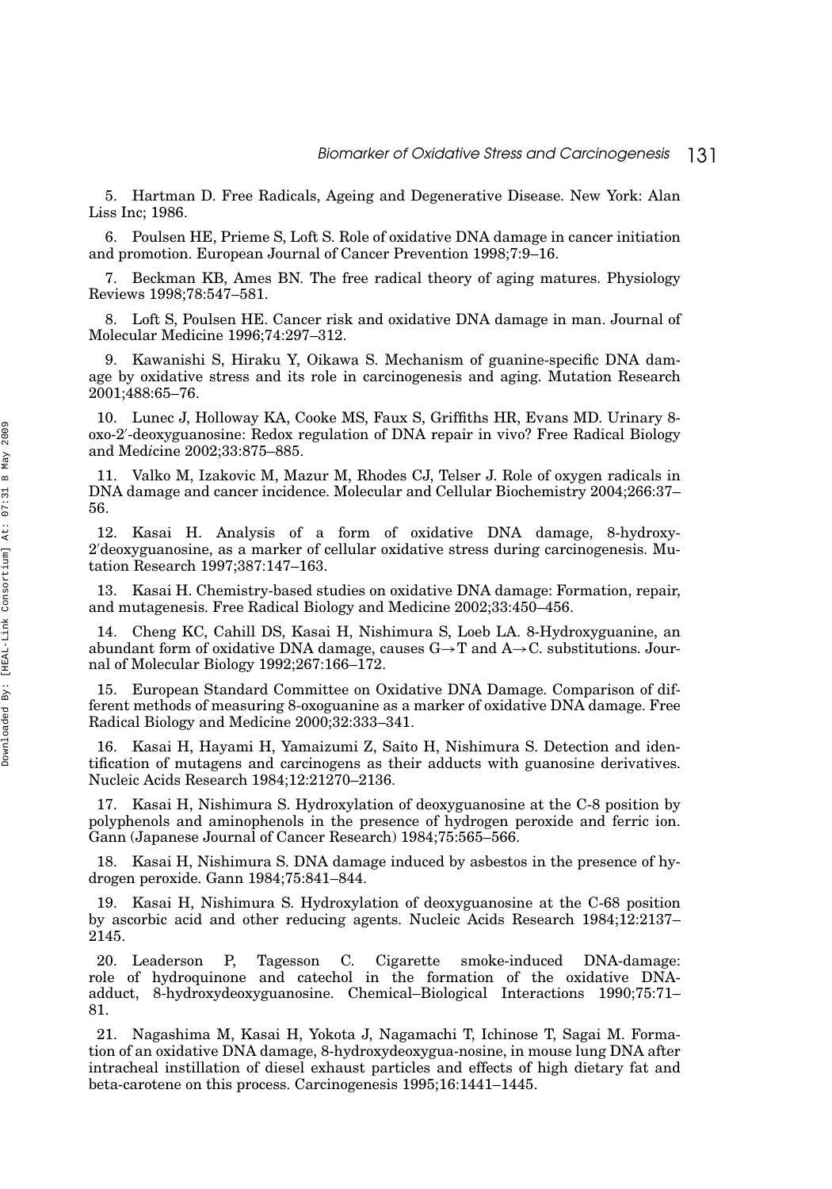5. Hartman D. Free Radicals, Ageing and Degenerative Disease. New York: Alan Liss Inc; 1986.

6. Poulsen HE, Prieme S, Loft S. Role of oxidative DNA damage in cancer initiation and promotion. European Journal of Cancer Prevention 1998;7:9–16.

7. Beckman KB, Ames BN. The free radical theory of aging matures. Physiology Reviews 1998;78:547–581.

8. Loft S, Poulsen HE. Cancer risk and oxidative DNA damage in man. Journal of Molecular Medicine 1996;74:297–312.

9. Kawanishi S, Hiraku Y, Oikawa S. Mechanism of guanine-specific DNA damage by oxidative stress and its role in carcinogenesis and aging. Mutation Research 2001;488:65–76.

10. Lunec J, Holloway KA, Cooke MS, Faux S, Griffiths HR, Evans MD. Urinary 8 oxo-2 -deoxyguanosine: Redox regulation of DNA repair in vivo? Free Radical Biology and Med*i*cine 2002;33:875–885.

11. Valko M, Izakovic M, Mazur M, Rhodes CJ, Telser J. Role of oxygen radicals in DNA damage and cancer incidence. Molecular and Cellular Biochemistry 2004;266:37– 56.

12. Kasai H. Analysis of a form of oxidative DNA damage, 8-hydroxy-2 deoxyguanosine, as a marker of cellular oxidative stress during carcinogenesis. Mutation Research 1997;387:147–163.

13. Kasai H. Chemistry-based studies on oxidative DNA damage: Formation, repair, and mutagenesis. Free Radical Biology and Medicine 2002;33:450–456.

14. Cheng KC, Cahill DS, Kasai H, Nishimura S, Loeb LA. 8-Hydroxyguanine, an abundant form of oxidative DNA damage, causes  $G \rightarrow T$  and  $A \rightarrow C$ . substitutions. Journal of Molecular Biology 1992;267:166–172.

15. European Standard Committee on Oxidative DNA Damage. Comparison of different methods of measuring 8-oxoguanine as a marker of oxidative DNA damage. Free Radical Biology and Medicine 2000;32:333–341.

16. Kasai H, Hayami H, Yamaizumi Z, Saito H, Nishimura S. Detection and identification of mutagens and carcinogens as their adducts with guanosine derivatives. Nucleic Acids Research 1984;12:21270–2136.

17. Kasai H, Nishimura S. Hydroxylation of deoxyguanosine at the C-8 position by polyphenols and aminophenols in the presence of hydrogen peroxide and ferric ion. Gann (Japanese Journal of Cancer Research) 1984;75:565–566.

18. Kasai H, Nishimura S. DNA damage induced by asbestos in the presence of hydrogen peroxide. Gann 1984;75:841–844.

19. Kasai H, Nishimura S. Hydroxylation of deoxyguanosine at the C-68 position by ascorbic acid and other reducing agents. Nucleic Acids Research 1984;12:2137– 2145.

20. Leaderson P, Tagesson C. Cigarette smoke-induced DNA-damage: role of hydroquinone and catechol in the formation of the oxidative DNAadduct, 8-hydroxydeoxyguanosine. Chemical–Biological Interactions 1990;75:71– 81.

21. Nagashima M, Kasai H, Yokota J, Nagamachi T, Ichinose T, Sagai M. Formation of an oxidative DNA damage, 8-hydroxydeoxygua-nosine, in mouse lung DNA after intracheal instillation of diesel exhaust particles and effects of high dietary fat and beta-carotene on this process. Carcinogenesis 1995;16:1441–1445.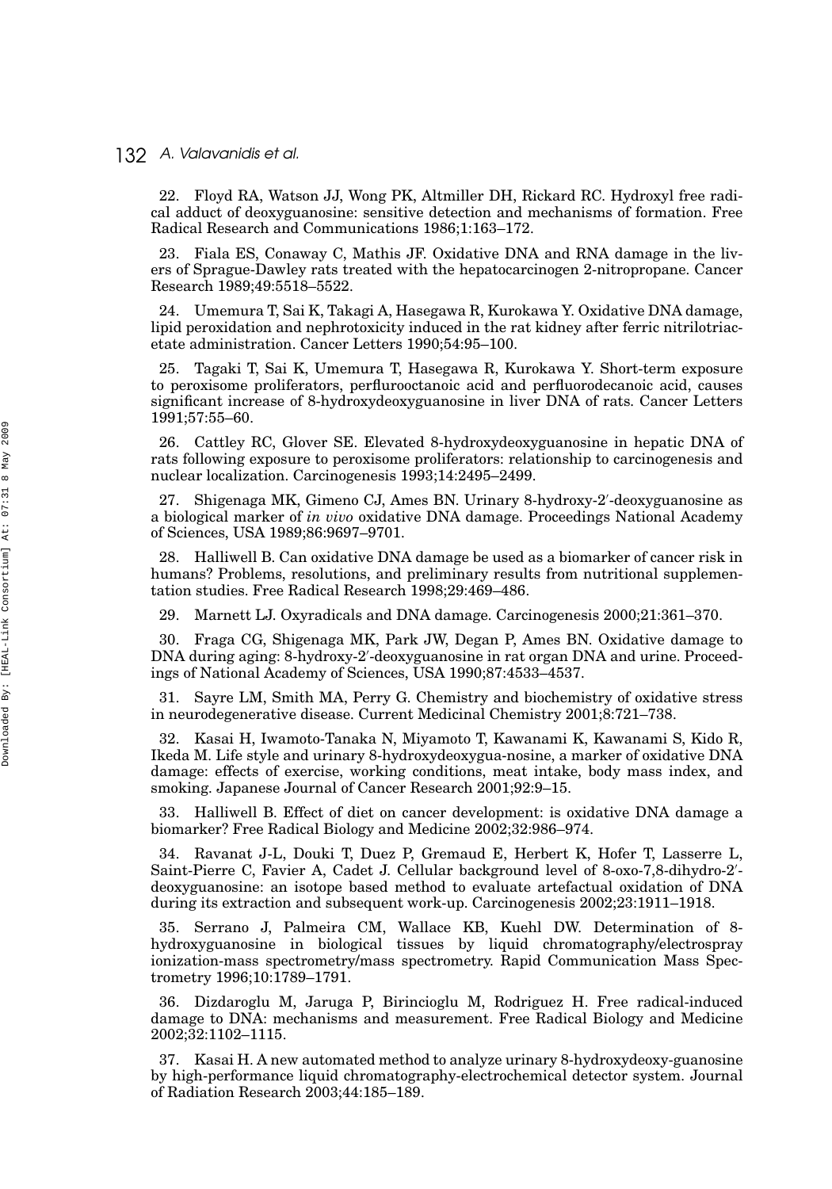22. Floyd RA, Watson JJ, Wong PK, Altmiller DH, Rickard RC. Hydroxyl free radical adduct of deoxyguanosine: sensitive detection and mechanisms of formation. Free Radical Research and Communications 1986;1:163–172.

23. Fiala ES, Conaway C, Mathis JF. Oxidative DNA and RNA damage in the livers of Sprague-Dawley rats treated with the hepatocarcinogen 2-nitropropane. Cancer Research 1989;49:5518–5522.

24. Umemura T, Sai K, Takagi A, Hasegawa R, Kurokawa Y. Oxidative DNA damage, lipid peroxidation and nephrotoxicity induced in the rat kidney after ferric nitrilotriacetate administration. Cancer Letters 1990;54:95–100.

25. Tagaki T, Sai K, Umemura T, Hasegawa R, Kurokawa Y. Short-term exposure to peroxisome proliferators, perflurooctanoic acid and perfluorodecanoic acid, causes significant increase of 8-hydroxydeoxyguanosine in liver DNA of rats. Cancer Letters 1991;57:55–60.

26. Cattley RC, Glover SE. Elevated 8-hydroxydeoxyguanosine in hepatic DNA of rats following exposure to peroxisome proliferators: relationship to carcinogenesis and nuclear localization. Carcinogenesis 1993;14:2495–2499.

27. Shigenaga MK, Gimeno CJ, Ames BN. Urinary 8-hydroxy-2 -deoxyguanosine as a biological marker of *in vivo* oxidative DNA damage. Proceedings National Academy of Sciences, USA 1989;86:9697–9701.

28. Halliwell B. Can oxidative DNA damage be used as a biomarker of cancer risk in humans? Problems, resolutions, and preliminary results from nutritional supplementation studies. Free Radical Research 1998;29:469–486.

29. Marnett LJ. Oxyradicals and DNA damage. Carcinogenesis 2000;21:361–370.

30. Fraga CG, Shigenaga MK, Park JW, Degan P, Ames BN. Oxidative damage to DNA during aging: 8-hydroxy-2 -deoxyguanosine in rat organ DNA and urine. Proceedings of National Academy of Sciences, USA 1990;87:4533–4537.

31. Sayre LM, Smith MA, Perry G. Chemistry and biochemistry of oxidative stress in neurodegenerative disease. Current Medicinal Chemistry 2001;8:721–738.

32. Kasai H, Iwamoto-Tanaka N, Miyamoto T, Kawanami K, Kawanami S, Kido R, Ikeda M. Life style and urinary 8-hydroxydeoxygua-nosine, a marker of oxidative DNA damage: effects of exercise, working conditions, meat intake, body mass index, and smoking. Japanese Journal of Cancer Research 2001;92:9–15.

33. Halliwell B. Effect of diet on cancer development: is oxidative DNA damage a biomarker? Free Radical Biology and Medicine 2002;32:986–974.

34. Ravanat J-L, Douki T, Duez P, Gremaud E, Herbert K, Hofer T, Lasserre L, Saint-Pierre C, Favier A, Cadet J. Cellular background level of 8-oxo-7,8-dihydro-2'deoxyguanosine: an isotope based method to evaluate artefactual oxidation of DNA during its extraction and subsequent work-up. Carcinogenesis 2002;23:1911–1918.

35. Serrano J, Palmeira CM, Wallace KB, Kuehl DW. Determination of 8 hydroxyguanosine in biological tissues by liquid chromatography/electrospray ionization-mass spectrometry/mass spectrometry. Rapid Communication Mass Spectrometry 1996;10:1789–1791.

36. Dizdaroglu M, Jaruga P, Birincioglu M, Rodriguez H. Free radical-induced damage to DNA: mechanisms and measurement. Free Radical Biology and Medicine 2002;32:1102–1115.

37. Kasai H. A new automated method to analyze urinary 8-hydroxydeoxy-guanosine by high-performance liquid chromatography-electrochemical detector system. Journal of Radiation Research 2003;44:185–189.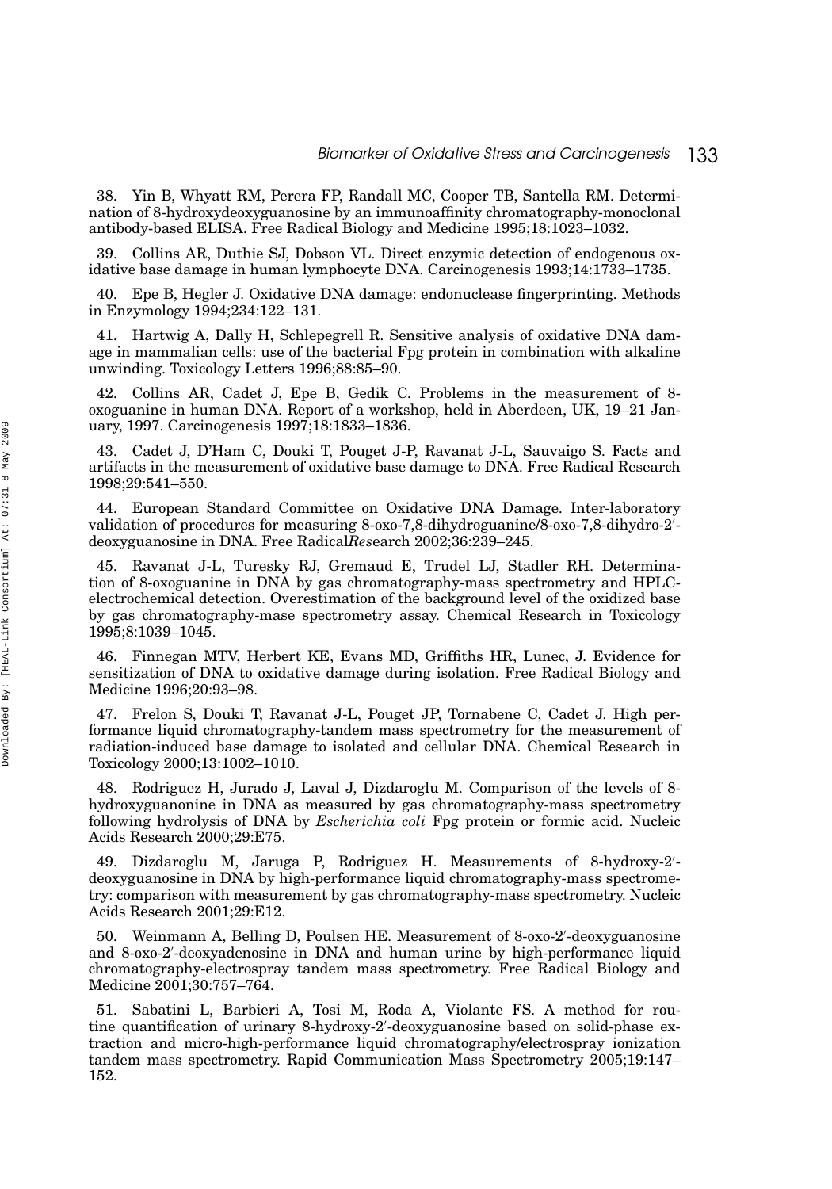38. Yin B, Whyatt RM, Perera FP, Randall MC, Cooper TB, Santella RM. Determination of 8-hydroxydeoxyguanosine by an immunoaffinity chromatography-monoclonal antibody-based ELISA. Free Radical Biology and Medicine 1995;18:1023–1032.

39. Collins AR, Duthie SJ, Dobson VL. Direct enzymic detection of endogenous oxidative base damage in human lymphocyte DNA. Carcinogenesis 1993;14:1733–1735.

40. Epe B, Hegler J. Oxidative DNA damage: endonuclease fingerprinting. Methods in Enzymology 1994;234:122–131.

41. Hartwig A, Dally H, Schlepegrell R. Sensitive analysis of oxidative DNA damage in mammalian cells: use of the bacterial Fpg protein in combination with alkaline unwinding. Toxicology Letters 1996;88:85–90.

42. Collins AR, Cadet J, Epe B, Gedik C. Problems in the measurement of 8 oxoguanine in human DNA. Report of a workshop, held in Aberdeen, UK, 19–21 January, 1997. Carcinogenesis 1997;18:1833–1836.

43. Cadet J, D'Ham C, Douki T, Pouget J-P, Ravanat J-L, Sauvaigo S. Facts and artifacts in the measurement of oxidative base damage to DNA. Free Radical Research 1998;29:541–550.

44. European Standard Committee on Oxidative DNA Damage. Inter-laboratory validation of procedures for measuring 8-oxo-7,8-dihydroguanine/8-oxo-7,8-dihydro-2 deoxyguanosine in DNA. Free Radical*Res*earch 2002;36:239–245.

45. Ravanat J-L, Turesky RJ, Gremaud E, Trudel LJ, Stadler RH. Determination of 8-oxoguanine in DNA by gas chromatography-mass spectrometry and HPLCelectrochemical detection. Overestimation of the background level of the oxidized base by gas chromatography-mase spectrometry assay. Chemical Research in Toxicology 1995;8:1039–1045.

46. Finnegan MTV, Herbert KE, Evans MD, Griffiths HR, Lunec, J. Evidence for sensitization of DNA to oxidative damage during isolation. Free Radical Biology and Medicine 1996;20:93–98.

47. Frelon S, Douki T, Ravanat J-L, Pouget JP, Tornabene C, Cadet J. High performance liquid chromatography-tandem mass spectrometry for the measurement of radiation-induced base damage to isolated and cellular DNA. Chemical Research in Toxicology 2000;13:1002–1010.

48. Rodriguez H, Jurado J, Laval J, Dizdaroglu M. Comparison of the levels of 8 hydroxyguanonine in DNA as measured by gas chromatography-mass spectrometry following hydrolysis of DNA by *Escherichia coli* Fpg protein or formic acid. Nucleic Acids Research 2000;29:E75.

49. Dizdaroglu M, Jaruga P, Rodriguez H. Measurements of 8-hydroxy-2 deoxyguanosine in DNA by high-performance liquid chromatography-mass spectrometry: comparison with measurement by gas chromatography-mass spectrometry. Nucleic Acids Research 2001;29:E12.

50. Weinmann A, Belling D, Poulsen HE. Measurement of 8-oxo-2 -deoxyguanosine and 8-oxo-2 -deoxyadenosine in DNA and human urine by high-performance liquid chromatography-electrospray tandem mass spectrometry. Free Radical Biology and Medicine 2001;30:757–764.

51. Sabatini L, Barbieri A, Tosi M, Roda A, Violante FS. A method for routine quantification of urinary 8-hydroxy-2 -deoxyguanosine based on solid-phase extraction and micro-high-performance liquid chromatography/electrospray ionization tandem mass spectrometry. Rapid Communication Mass Spectrometry 2005;19:147– 152.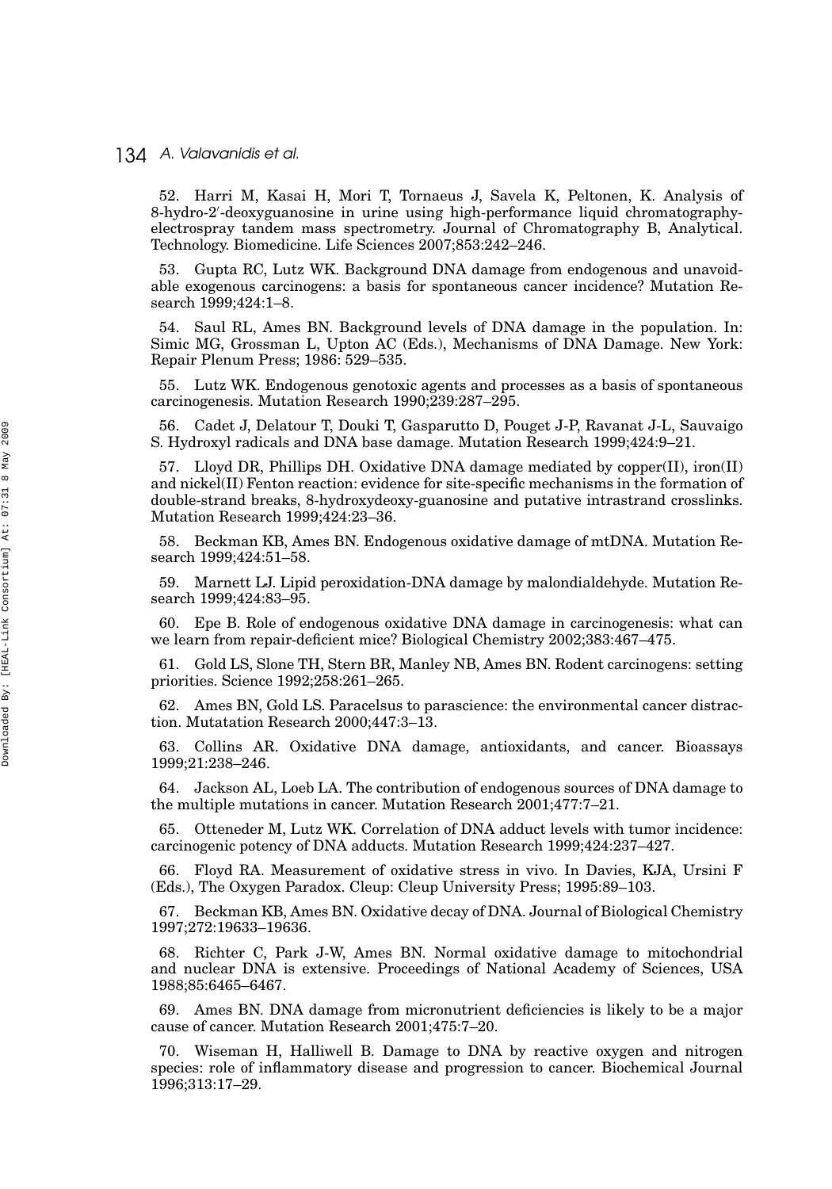52. Harri M, Kasai H, Mori T, Tornaeus J, Savela K, Peltonen, K. Analysis of 8-hydro-2 -deoxyguanosine in urine using high-performance liquid chromatographyelectrospray tandem mass spectrometry. Journal of Chromatography B, Analytical. Technology. Biomedicine. Life Sciences 2007;853:242–246.

53. Gupta RC, Lutz WK. Background DNA damage from endogenous and unavoidable exogenous carcinogens: a basis for spontaneous cancer incidence? Mutation Research 1999;424:1–8.

54. Saul RL, Ames BN. Background levels of DNA damage in the population. In: Simic MG, Grossman L, Upton AC (Eds.), Mechanisms of DNA Damage. New York: Repair Plenum Press; 1986: 529–535.

55. Lutz WK. Endogenous genotoxic agents and processes as a basis of spontaneous carcinogenesis. Mutation Research 1990;239:287–295.

56. Cadet J, Delatour T, Douki T, Gasparutto D, Pouget J-P, Ravanat J-L, Sauvaigo S. Hydroxyl radicals and DNA base damage. Mutation Research 1999;424:9–21.

57. Lloyd DR, Phillips DH. Oxidative DNA damage mediated by copper(II), iron(II) and nickel(II) Fenton reaction: evidence for site-specific mechanisms in the formation of double-strand breaks, 8-hydroxydeoxy-guanosine and putative intrastrand crosslinks. Mutation Research 1999;424:23–36.

58. Beckman KB, Ames BN. Endogenous oxidative damage of mtDNA. Mutation Research 1999;424:51–58.

59. Marnett LJ. Lipid peroxidation-DNA damage by malondialdehyde. Mutation Research 1999;424:83–95.

60. Epe B. Role of endogenous oxidative DNA damage in carcinogenesis: what can we learn from repair-deficient mice? Biological Chemistry 2002;383:467–475.

61. Gold LS, Slone TH, Stern BR, Manley NB, Ames BN. Rodent carcinogens: setting priorities. Science 1992;258:261–265.

62. Ames BN, Gold LS. Paracelsus to parascience: the environmental cancer distraction. Mutatation Research 2000;447:3–13.

63. Collins AR. Oxidative DNA damage, antioxidants, and cancer. Bioassays 1999;21:238–246.

64. Jackson AL, Loeb LA. The contribution of endogenous sources of DNA damage to the multiple mutations in cancer. Mutation Research 2001;477:7–21.

65. Otteneder M, Lutz WK. Correlation of DNA adduct levels with tumor incidence: carcinogenic potency of DNA adducts. Mutation Research 1999;424:237–427.

66. Floyd RA. Measurement of oxidative stress in vivo. In Davies, KJA, Ursini F (Eds.), The Oxygen Paradox. Cleup: Cleup University Press; 1995:89–103.

67. Beckman KB, Ames BN. Oxidative decay of DNA. Journal of Biological Chemistry 1997;272:19633–19636.

68. Richter C, Park J-W, Ames BN. Normal oxidative damage to mitochondrial and nuclear DNA is extensive. Proceedings of National Academy of Sciences, USA 1988;85:6465–6467.

Ames BN. DNA damage from micronutrient deficiencies is likely to be a major cause of cancer. Mutation Research 2001;475:7–20.

70. Wiseman H, Halliwell B. Damage to DNA by reactive oxygen and nitrogen species: role of inflammatory disease and progression to cancer. Biochemical Journal 1996;313:17–29.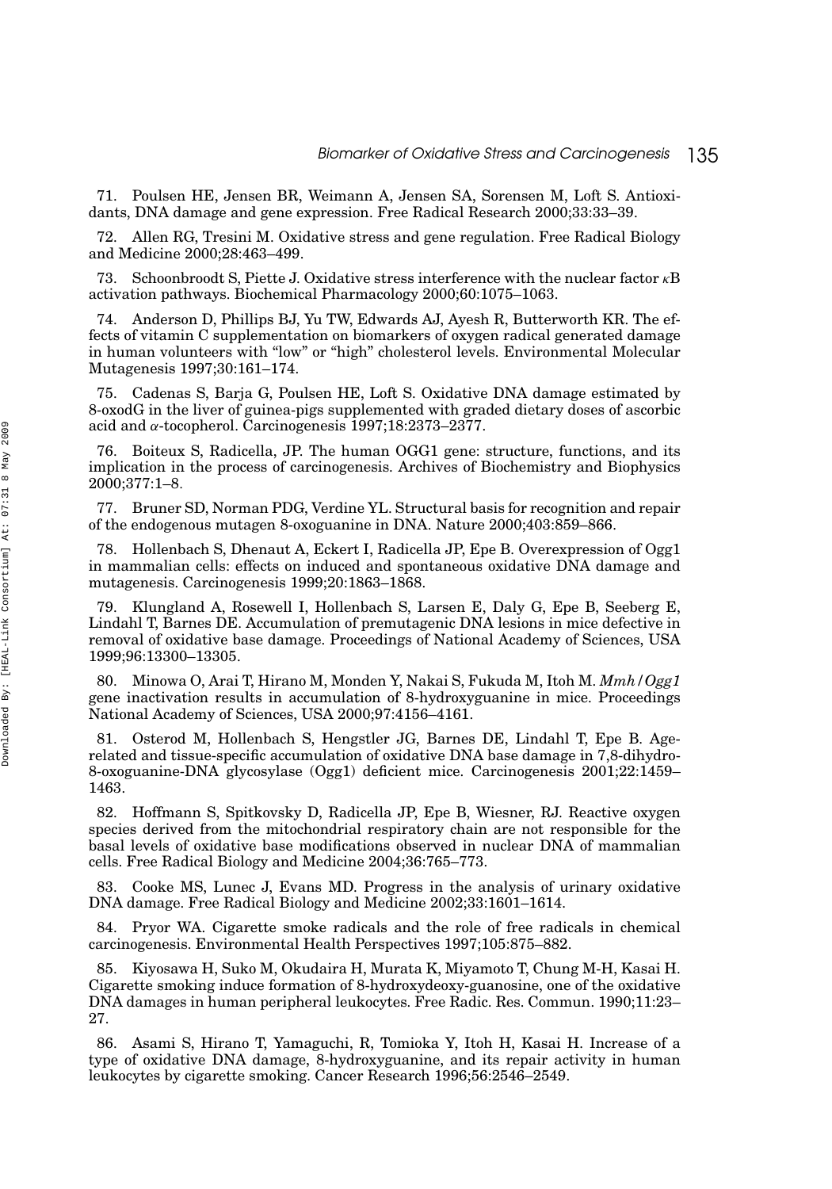71. Poulsen HE, Jensen BR, Weimann A, Jensen SA, Sorensen M, Loft S. Antioxidants, DNA damage and gene expression. Free Radical Research 2000;33:33–39.

72. Allen RG, Tresini M. Oxidative stress and gene regulation. Free Radical Biology and Medicine 2000;28:463–499.

73. Schoonbroodt S, Piette J. Oxidative stress interference with the nuclear factor *κ*B activation pathways. Biochemical Pharmacology 2000;60:1075–1063.

74. Anderson D, Phillips BJ, Yu TW, Edwards AJ, Ayesh R, Butterworth KR. The effects of vitamin C supplementation on biomarkers of oxygen radical generated damage in human volunteers with "low" or "high" cholesterol levels. Environmental Molecular Mutagenesis 1997;30:161–174.

75. Cadenas S, Barja G, Poulsen HE, Loft S. Oxidative DNA damage estimated by 8-oxodG in the liver of guinea-pigs supplemented with graded dietary doses of ascorbic acid and *α*-tocopherol. Carcinogenesis 1997;18:2373–2377.

76. Boiteux S, Radicella, JP. The human OGG1 gene: structure, functions, and its implication in the process of carcinogenesis. Archives of Biochemistry and Biophysics 2000;377:1–8*.*

77. Bruner SD, Norman PDG, Verdine YL. Structural basis for recognition and repair of the endogenous mutagen 8-oxoguanine in DNA. Nature 2000;403:859–866.

78. Hollenbach S, Dhenaut A, Eckert I, Radicella JP, Epe B. Overexpression of Ogg1 in mammalian cells: effects on induced and spontaneous oxidative DNA damage and mutagenesis. Carcinogenesis 1999;20:1863–1868.

79. Klungland A, Rosewell I, Hollenbach S, Larsen E, Daly G, Epe B, Seeberg E, Lindahl T, Barnes DE. Accumulation of premutagenic DNA lesions in mice defective in removal of oxidative base damage. Proceedings of National Academy of Sciences, USA 1999;96:13300–13305.

80. Minowa O, Arai T, Hirano M, Monden Y, Nakai S, Fukuda M, Itoh M. *Mmh/Ogg1* gene inactivation results in accumulation of 8-hydroxyguanine in mice. Proceedings National Academy of Sciences, USA 2000;97:4156–4161.

81. Osterod M, Hollenbach S, Hengstler JG, Barnes DE, Lindahl T, Epe B. Agerelated and tissue-specific accumulation of oxidative DNA base damage in 7,8-dihydro-8-oxoguanine-DNA glycosylase (Ogg1) deficient mice. Carcinogenesis 2001;22:1459– 1463.

82. Hoffmann S, Spitkovsky D, Radicella JP, Epe B, Wiesner, RJ. Reactive oxygen species derived from the mitochondrial respiratory chain are not responsible for the basal levels of oxidative base modifications observed in nuclear DNA of mammalian cells. Free Radical Biology and Medicine 2004;36:765–773.

83. Cooke MS, Lunec J, Evans MD. Progress in the analysis of urinary oxidative DNA damage. Free Radical Biology and Medicine 2002;33:1601–1614.

84. Pryor WA. Cigarette smoke radicals and the role of free radicals in chemical carcinogenesis. Environmental Health Perspectives 1997;105:875–882.

85. Kiyosawa H, Suko M, Okudaira H, Murata K, Miyamoto T, Chung M-H, Kasai H. Cigarette smoking induce formation of 8-hydroxydeoxy-guanosine, one of the oxidative DNA damages in human peripheral leukocytes. Free Radic. Res. Commun. 1990;11:23– 27.

86. Asami S, Hirano T, Yamaguchi, R, Tomioka Y, Itoh H, Kasai H. Increase of a type of oxidative DNA damage, 8-hydroxyguanine, and its repair activity in human leukocytes by cigarette smoking. Cancer Research 1996;56:2546–2549.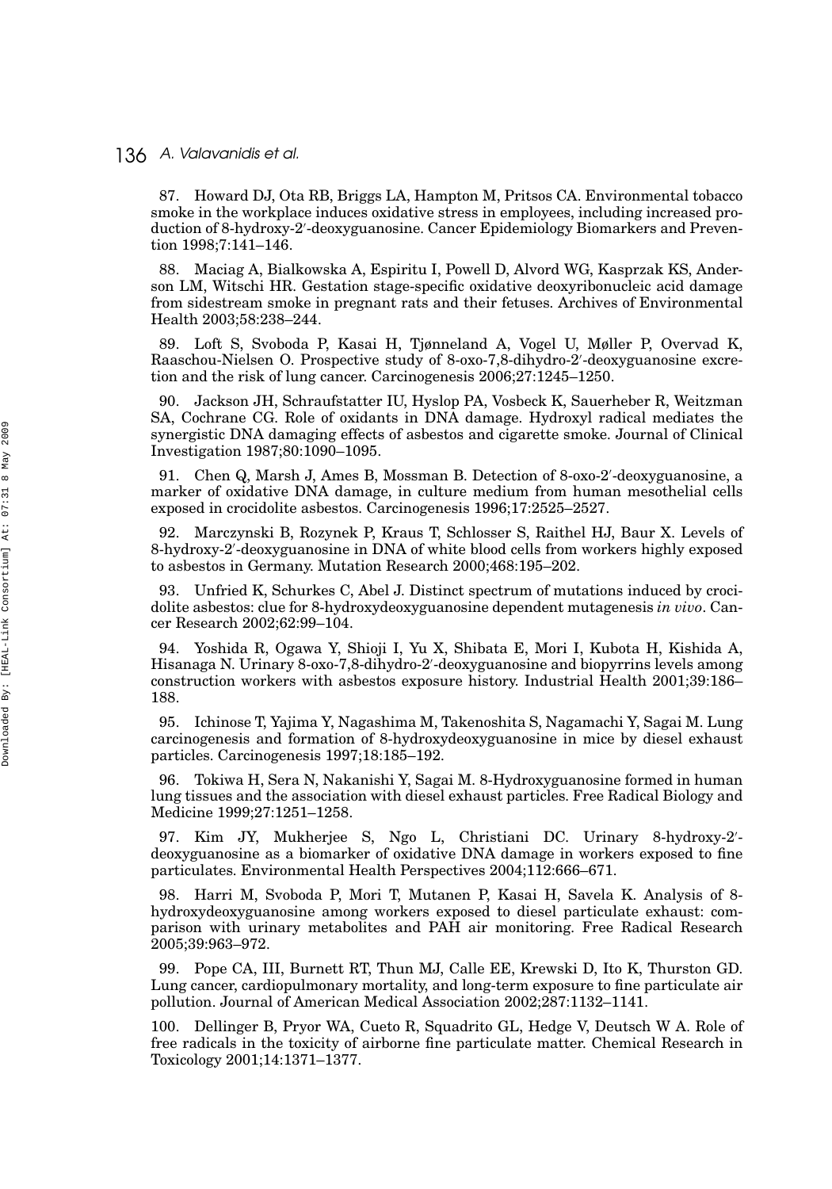87. Howard DJ, Ota RB, Briggs LA, Hampton M, Pritsos CA. Environmental tobacco smoke in the workplace induces oxidative stress in employees, including increased production of 8-hydroxy-2 -deoxyguanosine. Cancer Epidemiology Biomarkers and Prevention 1998;7:141–146.

88. Maciag A, Bialkowska A, Espiritu I, Powell D, Alvord WG, Kasprzak KS, Anderson LM, Witschi HR. Gestation stage-specific oxidative deoxyribonucleic acid damage from sidestream smoke in pregnant rats and their fetuses. Archives of Environmental Health 2003;58:238–244.

89. Loft S, Svoboda P, Kasai H, Tjønneland A, Vogel U, Møller P, Overvad K, Raaschou-Nielsen O. Prospective study of 8-oxo-7,8-dihydro-2 -deoxyguanosine excretion and the risk of lung cancer. Carcinogenesis 2006;27:1245–1250.

90. Jackson JH, Schraufstatter IU, Hyslop PA, Vosbeck K, Sauerheber R, Weitzman SA, Cochrane CG. Role of oxidants in DNA damage. Hydroxyl radical mediates the synergistic DNA damaging effects of asbestos and cigarette smoke. Journal of Clinical Investigation 1987;80:1090–1095.

91. Chen Q, Marsh J, Ames B, Mossman B. Detection of 8-oxo-2 -deoxyguanosine, a marker of oxidative DNA damage, in culture medium from human mesothelial cells exposed in crocidolite asbestos. Carcinogenesis 1996;17:2525–2527.

92. Marczynski B, Rozynek P, Kraus T, Schlosser S, Raithel HJ, Baur X. Levels of 8-hydroxy-2 -deoxyguanosine in DNA of white blood cells from workers highly exposed to asbestos in Germany. Mutation Research 2000;468:195–202.

93. Unfried K, Schurkes C, Abel J. Distinct spectrum of mutations induced by crocidolite asbestos: clue for 8-hydroxydeoxyguanosine dependent mutagenesis *in vivo*. Cancer Research 2002;62:99–104.

94. Yoshida R, Ogawa Y, Shioji I, Yu X, Shibata E, Mori I, Kubota H, Kishida A, Hisanaga N. Urinary 8-oxo-7,8-dihydro-2 -deoxyguanosine and biopyrrins levels among construction workers with asbestos exposure history. Industrial Health 2001;39:186– 188.

95. Ichinose T, Yajima Y, Nagashima M, Takenoshita S, Nagamachi Y, Sagai M. Lung carcinogenesis and formation of 8-hydroxydeoxyguanosine in mice by diesel exhaust particles. Carcinogenesis 1997;18:185–192.

96. Tokiwa H, Sera N, Nakanishi Y, Sagai M. 8-Hydroxyguanosine formed in human lung tissues and the association with diesel exhaust particles. Free Radical Biology and Medicine 1999;27:1251–1258.

97. Kim JY, Mukherjee S, Ngo L, Christiani DC. Urinary 8-hydroxy-2 deoxyguanosine as a biomarker of oxidative DNA damage in workers exposed to fine particulates. Environmental Health Perspectives 2004;112:666–671.

98. Harri M, Svoboda P, Mori T, Mutanen P, Kasai H, Savela K. Analysis of 8 hydroxydeoxyguanosine among workers exposed to diesel particulate exhaust: comparison with urinary metabolites and PAH air monitoring. Free Radical Research 2005;39:963–972.

99. Pope CA, III, Burnett RT, Thun MJ, Calle EE, Krewski D, Ito K, Thurston GD. Lung cancer, cardiopulmonary mortality, and long-term exposure to fine particulate air pollution. Journal of American Medical Association 2002;287:1132–1141.

100. Dellinger B, Pryor WA, Cueto R, Squadrito GL, Hedge V, Deutsch W A. Role of free radicals in the toxicity of airborne fine particulate matter. Chemical Research in Toxicology 2001;14:1371–1377.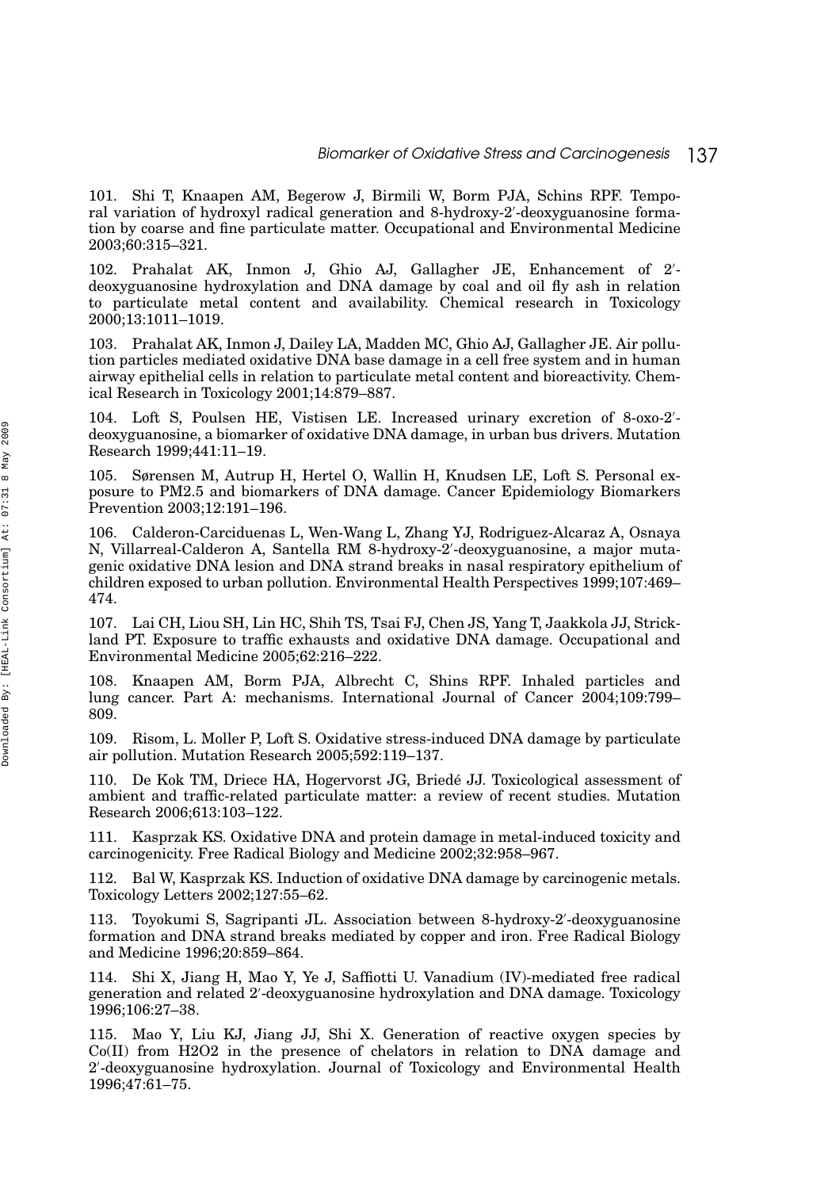101. Shi T, Knaapen AM, Begerow J, Birmili W, Borm PJA, Schins RPF. Temporal variation of hydroxyl radical generation and 8-hydroxy-2 -deoxyguanosine formation by coarse and fine particulate matter. Occupational and Environmental Medicine 2003;60:315–321.

102. Prahalat AK, Inmon J, Ghio AJ, Gallagher JE, Enhancement of 2 deoxyguanosine hydroxylation and DNA damage by coal and oil fly ash in relation to particulate metal content and availability. Chemical research in Toxicology 2000;13:1011–1019.

103. Prahalat AK, Inmon J, Dailey LA, Madden MC, Ghio AJ, Gallagher JE. Air pollution particles mediated oxidative DNA base damage in a cell free system and in human airway epithelial cells in relation to particulate metal content and bioreactivity. Chemical Research in Toxicology 2001;14:879–887.

104. Loft S, Poulsen HE, Vistisen LE. Increased urinary excretion of 8-oxo-2 deoxyguanosine, a biomarker of oxidative DNA damage, in urban bus drivers. Mutation Research 1999;441:11–19.

105. Sørensen M, Autrup H, Hertel O, Wallin H, Knudsen LE, Loft S. Personal exposure to PM2.5 and biomarkers of DNA damage. Cancer Epidemiology Biomarkers Prevention 2003;12:191–196.

106. Calderon-Carciduenas L, Wen-Wang L, Zhang YJ, Rodriguez-Alcaraz A, Osnaya N, Villarreal-Calderon A, Santella RM 8-hydroxy-2 -deoxyguanosine, a major mutagenic oxidative DNA lesion and DNA strand breaks in nasal respiratory epithelium of children exposed to urban pollution. Environmental Health Perspectives 1999;107:469– 474.

107. Lai CH, Liou SH, Lin HC, Shih TS, Tsai FJ, Chen JS, Yang T, Jaakkola JJ, Strickland PT. Exposure to traffic exhausts and oxidative DNA damage. Occupational and Environmental Medicine 2005;62:216–222.

108. Knaapen AM, Borm PJA, Albrecht C, Shins RPF. Inhaled particles and lung cancer. Part A: mechanisms. International Journal of Cancer 2004;109:799– 809.

109. Risom, L. Moller P, Loft S. Oxidative stress-induced DNA damage by particulate air pollution. Mutation Research 2005;592:119–137.

110. De Kok TM, Driece HA, Hogervorst JG, Briede JJ. Toxicological assessment of ´ ambient and traffic-related particulate matter: a review of recent studies. Mutation Research 2006;613:103–122.

111. Kasprzak KS. Oxidative DNA and protein damage in metal-induced toxicity and carcinogenicity. Free Radical Biology and Medicine 2002;32:958–967.

112. Bal W, Kasprzak KS. Induction of oxidative DNA damage by carcinogenic metals. Toxicology Letters 2002;127:55–62.

113. Toyokumi S, Sagripanti JL. Association between 8-hydroxy-2 -deoxyguanosine formation and DNA strand breaks mediated by copper and iron. Free Radical Biology and Medicine 1996;20:859–864.

114. Shi X, Jiang H, Mao Y, Ye J, Saffiotti U. Vanadium (IV)-mediated free radical generation and related 2 -deoxyguanosine hydroxylation and DNA damage. Toxicology 1996;106:27–38.

115. Mao Y, Liu KJ, Jiang JJ, Shi X. Generation of reactive oxygen species by Co(II) from H2O2 in the presence of chelators in relation to DNA damage and 2 -deoxyguanosine hydroxylation. Journal of Toxicology and Environmental Health 1996;47:61–75.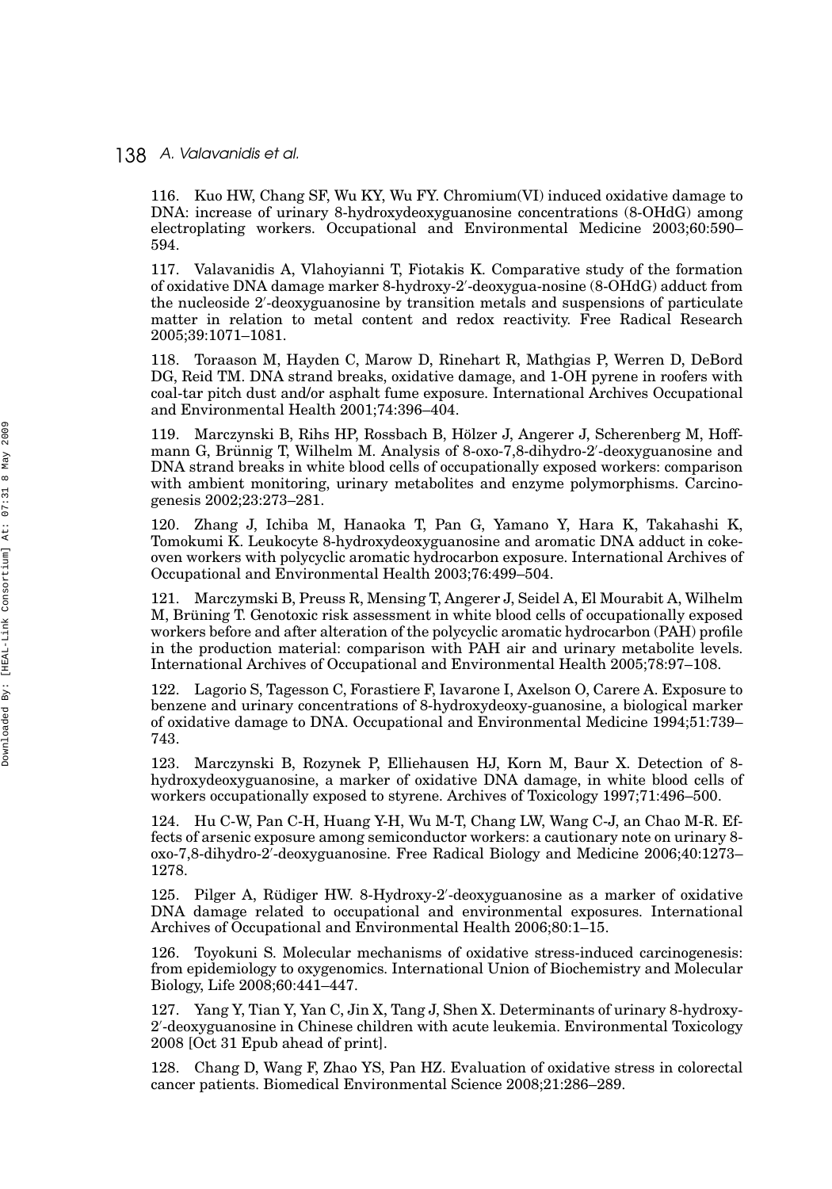116. Kuo HW, Chang SF, Wu KY, Wu FY. Chromium(VI) induced oxidative damage to DNA: increase of urinary 8-hydroxydeoxyguanosine concentrations (8-OHdG) among electroplating workers. Occupational and Environmental Medicine 2003;60:590– 594.

117. Valavanidis A, Vlahoyianni T, Fiotakis K. Comparative study of the formation of oxidative DNA damage marker 8-hydroxy-2 -deoxygua-nosine (8-OHdG) adduct from the nucleoside 2 -deoxyguanosine by transition metals and suspensions of particulate matter in relation to metal content and redox reactivity. Free Radical Research 2005;39:1071–1081.

118. Toraason M, Hayden C, Marow D, Rinehart R, Mathgias P, Werren D, DeBord DG, Reid TM. DNA strand breaks, oxidative damage, and 1-OH pyrene in roofers with coal-tar pitch dust and/or asphalt fume exposure. International Archives Occupational and Environmental Health 2001;74:396–404.

119. Marczynski B, Rihs HP, Rossbach B, Holzer J, Angerer J, Scherenberg M, Hoff- ¨ mann G, Brünnig T, Wilhelm M. Analysis of 8-oxo-7,8-dihydro-2'-deoxyguanosine and DNA strand breaks in white blood cells of occupationally exposed workers: comparison with ambient monitoring, urinary metabolites and enzyme polymorphisms. Carcinogenesis 2002;23:273–281.

120. Zhang J, Ichiba M, Hanaoka T, Pan G, Yamano Y, Hara K, Takahashi K, Tomokumi K. Leukocyte 8-hydroxydeoxyguanosine and aromatic DNA adduct in cokeoven workers with polycyclic aromatic hydrocarbon exposure. International Archives of Occupational and Environmental Health 2003;76:499–504.

121. Marczymski B, Preuss R, Mensing T, Angerer J, Seidel A, El Mourabit A, Wilhelm M, Brüning T. Genotoxic risk assessment in white blood cells of occupationally exposed workers before and after alteration of the polycyclic aromatic hydrocarbon (PAH) profile in the production material: comparison with PAH air and urinary metabolite levels. International Archives of Occupational and Environmental Health 2005;78:97–108.

122. Lagorio S, Tagesson C, Forastiere F, Iavarone I, Axelson O, Carere A. Exposure to benzene and urinary concentrations of 8-hydroxydeoxy-guanosine, a biological marker of oxidative damage to DNA. Occupational and Environmental Medicine 1994;51:739– 743.

123. Marczynski B, Rozynek P, Elliehausen HJ, Korn M, Baur X. Detection of 8 hydroxydeoxyguanosine, a marker of oxidative DNA damage, in white blood cells of workers occupationally exposed to styrene. Archives of Toxicology 1997;71:496–500.

124. Hu C-W, Pan C-H, Huang Y-H, Wu M-T, Chang LW, Wang C-J, an Chao M-R. Effects of arsenic exposure among semiconductor workers: a cautionary note on urinary 8 oxo-7,8-dihydro-2 -deoxyguanosine. Free Radical Biology and Medicine 2006;40:1273– 1278.

125. Pilger A, Rüdiger HW. 8-Hydroxy-2'-deoxyguanosine as a marker of oxidative DNA damage related to occupational and environmental exposures. International Archives of Occupational and Environmental Health 2006;80:1–15.

126. Toyokuni S. Molecular mechanisms of oxidative stress-induced carcinogenesis: from epidemiology to oxygenomics. International Union of Biochemistry and Molecular Biology, Life 2008;60:441–447.

127. Yang Y, Tian Y, Yan C, Jin X, Tang J, Shen X. Determinants of urinary 8-hydroxy-2 -deoxyguanosine in Chinese children with acute leukemia. Environmental Toxicology 2008 [Oct 31 Epub ahead of print].

128. Chang D, Wang F, Zhao YS, Pan HZ. Evaluation of oxidative stress in colorectal cancer patients. Biomedical Environmental Science 2008;21:286–289.